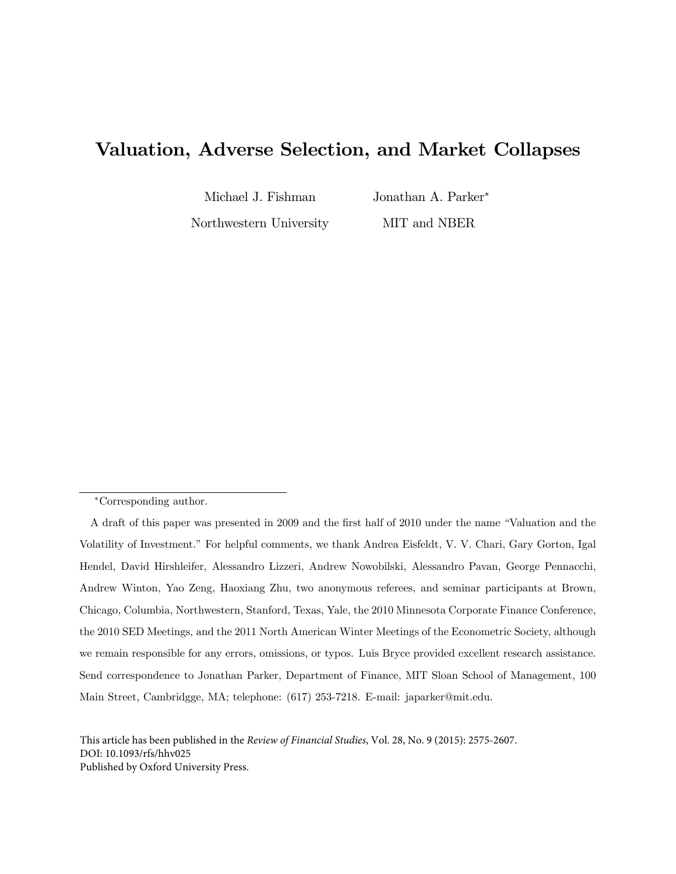# Valuation, Adverse Selection, and Market Collapses

Michael J. Fishman

Jonathan A. Parker<sup>∗</sup>

Northwestern University

MIT and NBER

<sup>∗</sup>Corresponding author.

A draft of this paper was presented in 2009 and the first half of 2010 under the name "Valuation and the Volatility of Investment." For helpful comments, we thank Andrea Eisfeldt, V. V. Chari, Gary Gorton, Igal Hendel, David Hirshleifer, Alessandro Lizzeri, Andrew Nowobilski, Alessandro Pavan, George Pennacchi, Andrew Winton, Yao Zeng, Haoxiang Zhu, two anonymous referees, and seminar participants at Brown, Chicago, Columbia, Northwestern, Stanford, Texas, Yale, the 2010 Minnesota Corporate Finance Conference, the 2010 SED Meetings, and the 2011 North American Winter Meetings of the Econometric Society, although we remain responsible for any errors, omissions, or typos. Luis Bryce provided excellent research assistance. Send correspondence to Jonathan Parker, Department of Finance, MIT Sloan School of Management, 100 Main Street, Cambridgge, MA; telephone: (617) 253-7218. E-mail: japarker@mit.edu.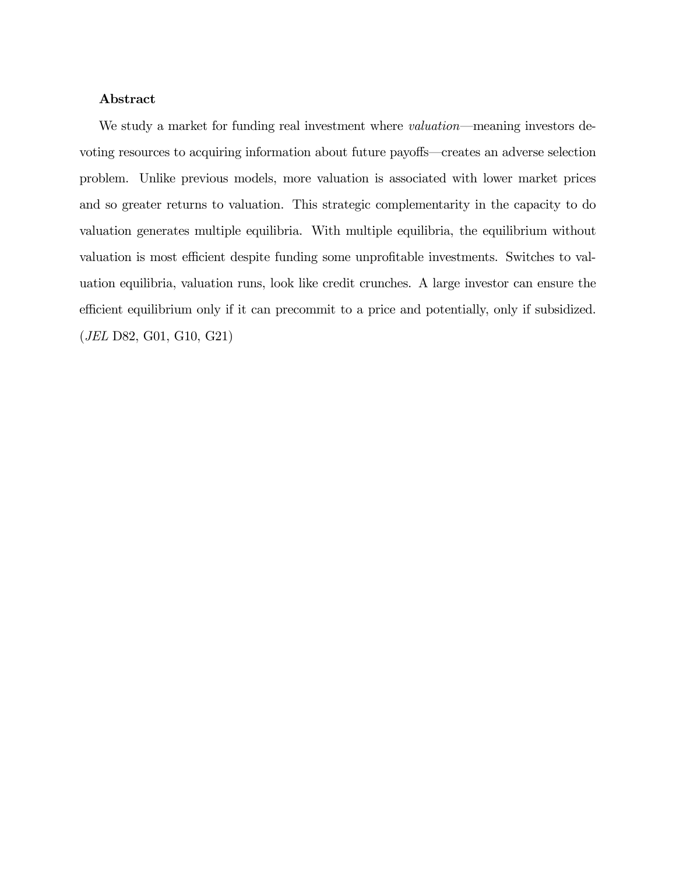## Abstract

We study a market for funding real investment where *valuation*—meaning investors devoting resources to acquiring information about future payoffs–creates an adverse selection problem. Unlike previous models, more valuation is associated with lower market prices and so greater returns to valuation. This strategic complementarity in the capacity to do valuation generates multiple equilibria. With multiple equilibria, the equilibrium without valuation is most efficient despite funding some unprofitable investments. Switches to valuation equilibria, valuation runs, look like credit crunches. A large investor can ensure the efficient equilibrium only if it can precommit to a price and potentially, only if subsidized. (JEL D82, G01, G10, G21)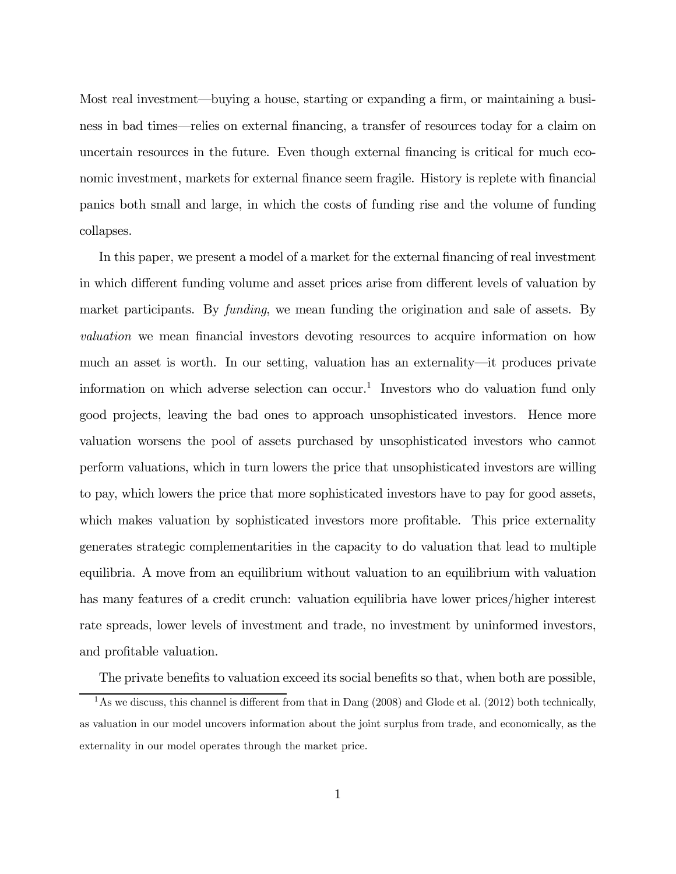Most real investment–buying a house, starting or expanding a firm, or maintaining a business in bad times–relies on external financing, a transfer of resources today for a claim on uncertain resources in the future. Even though external financing is critical for much economic investment, markets for external finance seem fragile. History is replete with financial panics both small and large, in which the costs of funding rise and the volume of funding collapses.

In this paper, we present a model of a market for the external financing of real investment in which different funding volume and asset prices arise from different levels of valuation by market participants. By funding, we mean funding the origination and sale of assets. By valuation we mean financial investors devoting resources to acquire information on how much an asset is worth. In our setting, valuation has an externality–it produces private information on which adverse selection can occur.<sup>1</sup> Investors who do valuation fund only good projects, leaving the bad ones to approach unsophisticated investors. Hence more valuation worsens the pool of assets purchased by unsophisticated investors who cannot perform valuations, which in turn lowers the price that unsophisticated investors are willing to pay, which lowers the price that more sophisticated investors have to pay for good assets, which makes valuation by sophisticated investors more profitable. This price externality generates strategic complementarities in the capacity to do valuation that lead to multiple equilibria. A move from an equilibrium without valuation to an equilibrium with valuation has many features of a credit crunch: valuation equilibria have lower prices/higher interest rate spreads, lower levels of investment and trade, no investment by uninformed investors, and profitable valuation.

The private benefits to valuation exceed its social benefits so that, when both are possible,

<sup>&</sup>lt;sup>1</sup>As we discuss, this channel is different from that in Dang (2008) and Glode et al. (2012) both technically, as valuation in our model uncovers information about the joint surplus from trade, and economically, as the externality in our model operates through the market price.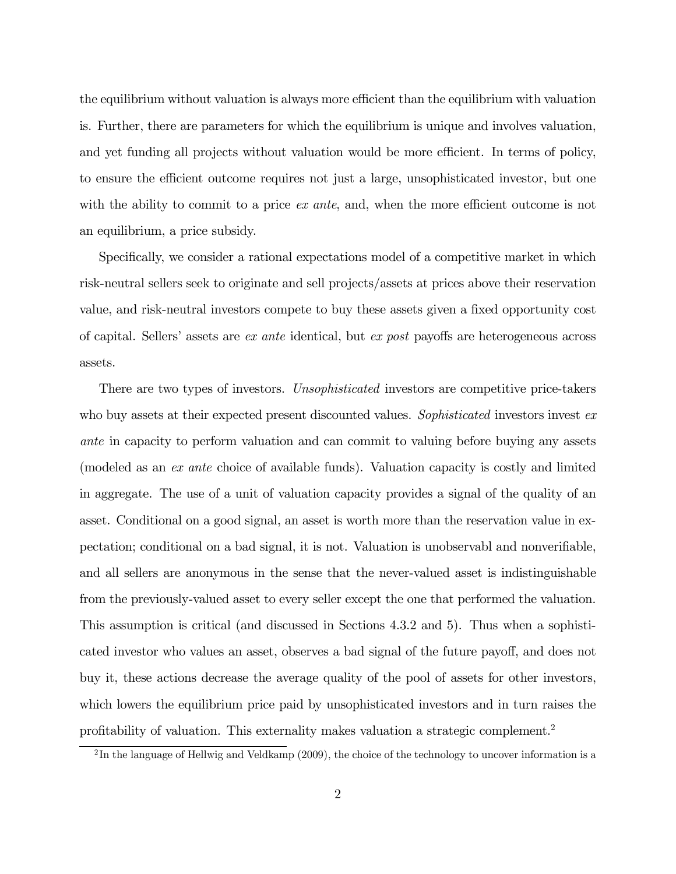the equilibrium without valuation is always more efficient than the equilibrium with valuation is. Further, there are parameters for which the equilibrium is unique and involves valuation, and yet funding all projects without valuation would be more efficient. In terms of policy, to ensure the efficient outcome requires not just a large, unsophisticated investor, but one with the ability to commit to a price *ex ante*, and, when the more efficient outcome is not an equilibrium, a price subsidy.

Specifically, we consider a rational expectations model of a competitive market in which risk-neutral sellers seek to originate and sell projects/assets at prices above their reservation value, and risk-neutral investors compete to buy these assets given a fixed opportunity cost of capital. Sellers' assets are ex ante identical, but ex post payoffs are heterogeneous across assets.

There are two types of investors. Unsophisticated investors are competitive price-takers who buy assets at their expected present discounted values. Sophisticated investors invest exante in capacity to perform valuation and can commit to valuing before buying any assets (modeled as an ex ante choice of available funds). Valuation capacity is costly and limited in aggregate. The use of a unit of valuation capacity provides a signal of the quality of an asset. Conditional on a good signal, an asset is worth more than the reservation value in expectation; conditional on a bad signal, it is not. Valuation is unobservabl and nonverifiable, and all sellers are anonymous in the sense that the never-valued asset is indistinguishable from the previously-valued asset to every seller except the one that performed the valuation. This assumption is critical (and discussed in Sections 4.3.2 and 5). Thus when a sophisticated investor who values an asset, observes a bad signal of the future payoff, and does not buy it, these actions decrease the average quality of the pool of assets for other investors, which lowers the equilibrium price paid by unsophisticated investors and in turn raises the profitability of valuation. This externality makes valuation a strategic complement.2

<sup>&</sup>lt;sup>2</sup>In the language of Hellwig and Veldkamp (2009), the choice of the technology to uncover information is a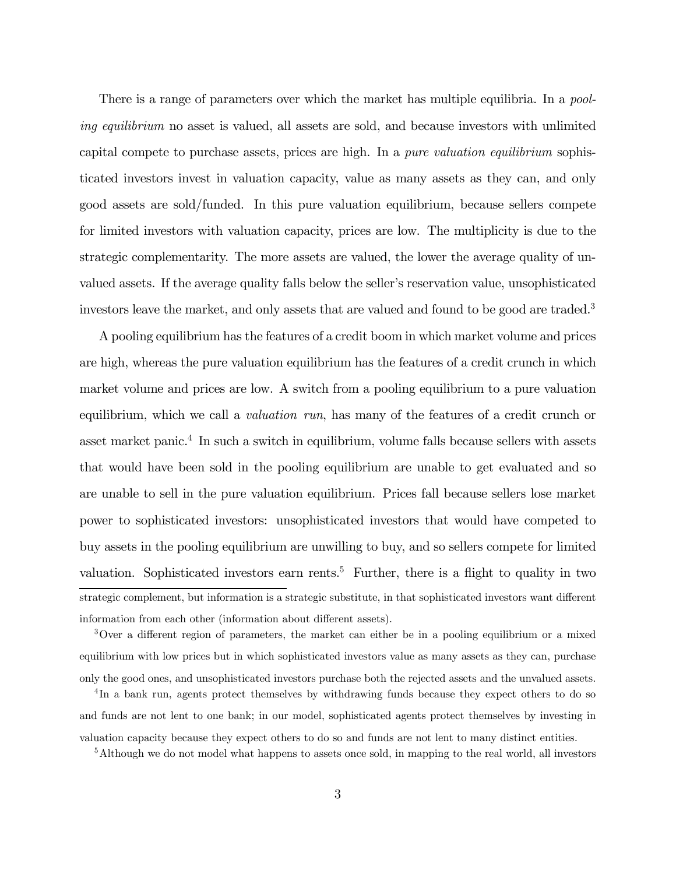There is a range of parameters over which the market has multiple equilibria. In a *pool*ing equilibrium no asset is valued, all assets are sold, and because investors with unlimited capital compete to purchase assets, prices are high. In a pure valuation equilibrium sophisticated investors invest in valuation capacity, value as many assets as they can, and only good assets are sold/funded. In this pure valuation equilibrium, because sellers compete for limited investors with valuation capacity, prices are low. The multiplicity is due to the strategic complementarity. The more assets are valued, the lower the average quality of unvalued assets. If the average quality falls below the seller's reservation value, unsophisticated investors leave the market, and only assets that are valued and found to be good are traded.<sup>3</sup>

A pooling equilibrium has the features of a credit boom in which market volume and prices are high, whereas the pure valuation equilibrium has the features of a credit crunch in which market volume and prices are low. A switch from a pooling equilibrium to a pure valuation equilibrium, which we call a *valuation run*, has many of the features of a credit crunch or asset market panic. $4 \text{ In such a switch in equilibrium, volume falls because sellers with assets}$ that would have been sold in the pooling equilibrium are unable to get evaluated and so are unable to sell in the pure valuation equilibrium. Prices fall because sellers lose market power to sophisticated investors: unsophisticated investors that would have competed to buy assets in the pooling equilibrium are unwilling to buy, and so sellers compete for limited valuation. Sophisticated investors earn rents.<sup>5</sup> Further, there is a flight to quality in two strategic complement, but information is a strategic substitute, in that sophisticated investors want different information from each other (information about different assets).

3Over a different region of parameters, the market can either be in a pooling equilibrium or a mixed equilibrium with low prices but in which sophisticated investors value as many assets as they can, purchase only the good ones, and unsophisticated investors purchase both the rejected assets and the unvalued assets.

<sup>4</sup>In a bank run, agents protect themselves by withdrawing funds because they expect others to do so and funds are not lent to one bank; in our model, sophisticated agents protect themselves by investing in valuation capacity because they expect others to do so and funds are not lent to many distinct entities.

5Although we do not model what happens to assets once sold, in mapping to the real world, all investors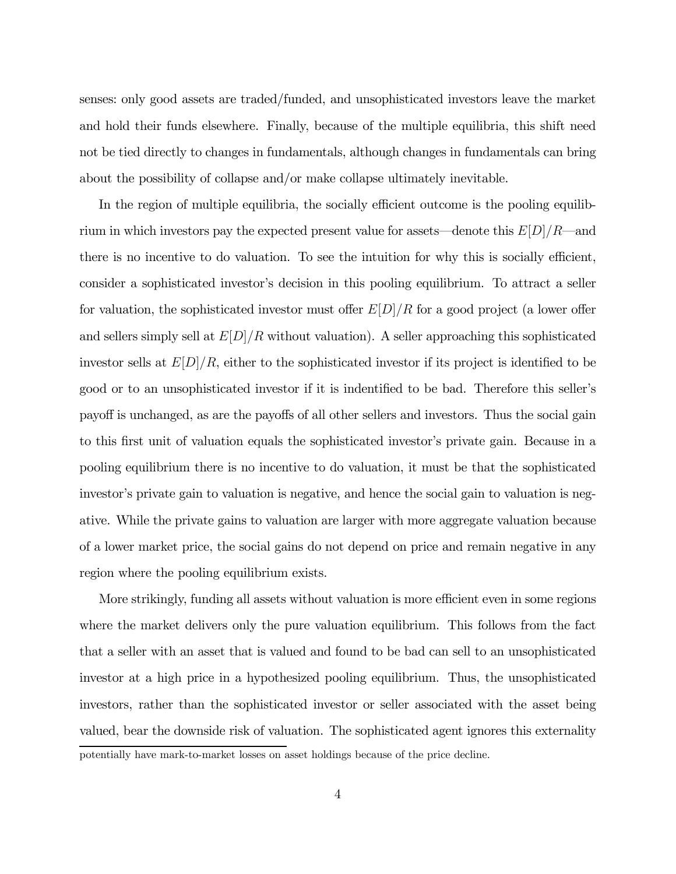senses: only good assets are traded/funded, and unsophisticated investors leave the market and hold their funds elsewhere. Finally, because of the multiple equilibria, this shift need not be tied directly to changes in fundamentals, although changes in fundamentals can bring about the possibility of collapse and/or make collapse ultimately inevitable.

In the region of multiple equilibria, the socially efficient outcome is the pooling equilibrium in which investors pay the expected present value for assets—denote this  $E[D]/R$ —and there is no incentive to do valuation. To see the intuition for why this is socially efficient, consider a sophisticated investor's decision in this pooling equilibrium. To attract a seller for valuation, the sophisticated investor must offer  $E[D]/R$  for a good project (a lower offer and sellers simply sell at  $E[D]/R$  without valuation). A seller approaching this sophisticated investor sells at  $E[D]/R$ , either to the sophisticated investor if its project is identified to be good or to an unsophisticated investor if it is indentified to be bad. Therefore this seller's payoff is unchanged, as are the payoffs of all other sellers and investors. Thus the social gain to this first unit of valuation equals the sophisticated investor's private gain. Because in a pooling equilibrium there is no incentive to do valuation, it must be that the sophisticated investor's private gain to valuation is negative, and hence the social gain to valuation is negative. While the private gains to valuation are larger with more aggregate valuation because of a lower market price, the social gains do not depend on price and remain negative in any region where the pooling equilibrium exists.

More strikingly, funding all assets without valuation is more efficient even in some regions where the market delivers only the pure valuation equilibrium. This follows from the fact that a seller with an asset that is valued and found to be bad can sell to an unsophisticated investor at a high price in a hypothesized pooling equilibrium. Thus, the unsophisticated investors, rather than the sophisticated investor or seller associated with the asset being valued, bear the downside risk of valuation. The sophisticated agent ignores this externality

potentially have mark-to-market losses on asset holdings because of the price decline.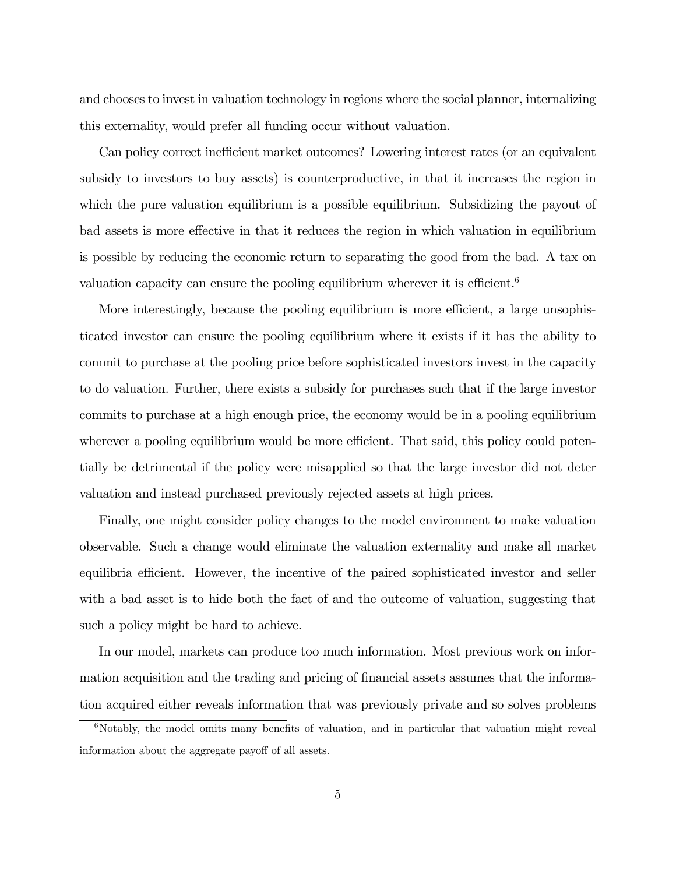and chooses to invest in valuation technology in regions where the social planner, internalizing this externality, would prefer all funding occur without valuation.

Can policy correct inefficient market outcomes? Lowering interest rates (or an equivalent subsidy to investors to buy assets) is counterproductive, in that it increases the region in which the pure valuation equilibrium is a possible equilibrium. Subsidizing the payout of bad assets is more effective in that it reduces the region in which valuation in equilibrium is possible by reducing the economic return to separating the good from the bad. A tax on valuation capacity can ensure the pooling equilibrium wherever it is efficient.<sup>6</sup>

More interestingly, because the pooling equilibrium is more efficient, a large unsophisticated investor can ensure the pooling equilibrium where it exists if it has the ability to commit to purchase at the pooling price before sophisticated investors invest in the capacity to do valuation. Further, there exists a subsidy for purchases such that if the large investor commits to purchase at a high enough price, the economy would be in a pooling equilibrium wherever a pooling equilibrium would be more efficient. That said, this policy could potentially be detrimental if the policy were misapplied so that the large investor did not deter valuation and instead purchased previously rejected assets at high prices.

Finally, one might consider policy changes to the model environment to make valuation observable. Such a change would eliminate the valuation externality and make all market equilibria efficient. However, the incentive of the paired sophisticated investor and seller with a bad asset is to hide both the fact of and the outcome of valuation, suggesting that such a policy might be hard to achieve.

In our model, markets can produce too much information. Most previous work on information acquisition and the trading and pricing of financial assets assumes that the information acquired either reveals information that was previously private and so solves problems

 $6$ Notably, the model omits many benefits of valuation, and in particular that valuation might reveal information about the aggregate payoff of all assets.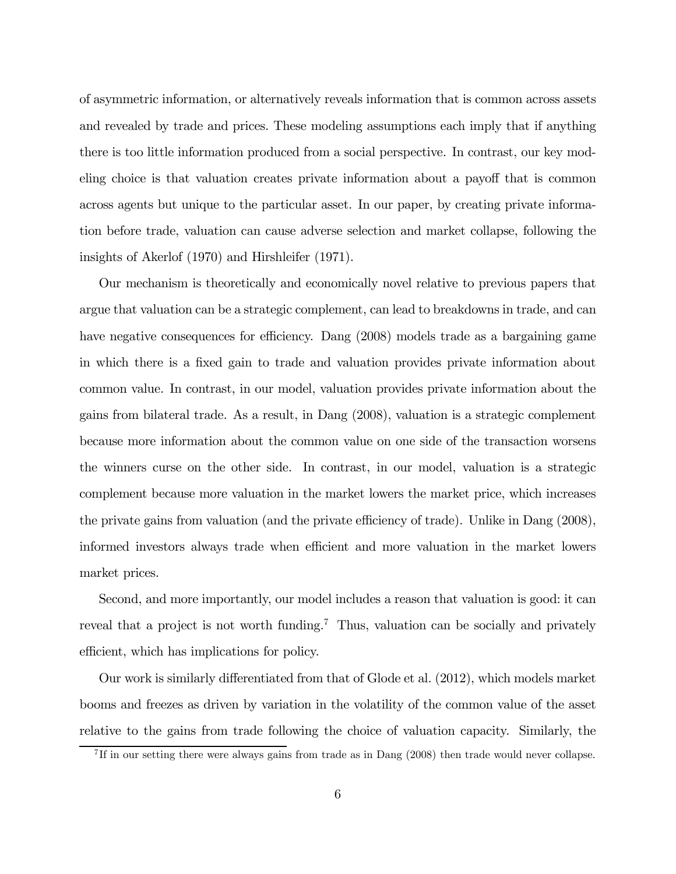of asymmetric information, or alternatively reveals information that is common across assets and revealed by trade and prices. These modeling assumptions each imply that if anything there is too little information produced from a social perspective. In contrast, our key modeling choice is that valuation creates private information about a payoff that is common across agents but unique to the particular asset. In our paper, by creating private information before trade, valuation can cause adverse selection and market collapse, following the insights of Akerlof (1970) and Hirshleifer (1971).

Our mechanism is theoretically and economically novel relative to previous papers that argue that valuation can be a strategic complement, can lead to breakdowns in trade, and can have negative consequences for efficiency. Dang (2008) models trade as a bargaining game in which there is a fixed gain to trade and valuation provides private information about common value. In contrast, in our model, valuation provides private information about the gains from bilateral trade. As a result, in Dang (2008), valuation is a strategic complement because more information about the common value on one side of the transaction worsens the winners curse on the other side. In contrast, in our model, valuation is a strategic complement because more valuation in the market lowers the market price, which increases the private gains from valuation (and the private efficiency of trade). Unlike in Dang (2008), informed investors always trade when efficient and more valuation in the market lowers market prices.

Second, and more importantly, our model includes a reason that valuation is good: it can reveal that a project is not worth funding.<sup>7</sup> Thus, valuation can be socially and privately efficient, which has implications for policy.

Our work is similarly differentiated from that of Glode et al. (2012), which models market booms and freezes as driven by variation in the volatility of the common value of the asset relative to the gains from trade following the choice of valuation capacity. Similarly, the

<sup>7</sup> If in our setting there were always gains from trade as in Dang (2008) then trade would never collapse.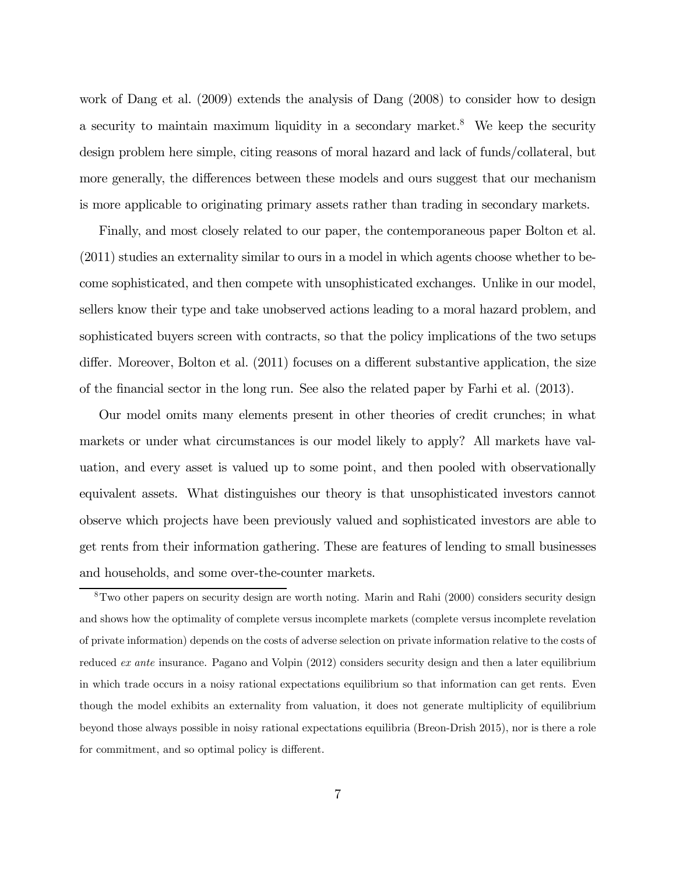work of Dang et al. (2009) extends the analysis of Dang (2008) to consider how to design a security to maintain maximum liquidity in a secondary market.<sup>8</sup> We keep the security design problem here simple, citing reasons of moral hazard and lack of funds/collateral, but more generally, the differences between these models and ours suggest that our mechanism is more applicable to originating primary assets rather than trading in secondary markets.

Finally, and most closely related to our paper, the contemporaneous paper Bolton et al. (2011) studies an externality similar to ours in a model in which agents choose whether to become sophisticated, and then compete with unsophisticated exchanges. Unlike in our model, sellers know their type and take unobserved actions leading to a moral hazard problem, and sophisticated buyers screen with contracts, so that the policy implications of the two setups differ. Moreover, Bolton et al. (2011) focuses on a different substantive application, the size of the financial sector in the long run. See also the related paper by Farhi et al. (2013).

Our model omits many elements present in other theories of credit crunches; in what markets or under what circumstances is our model likely to apply? All markets have valuation, and every asset is valued up to some point, and then pooled with observationally equivalent assets. What distinguishes our theory is that unsophisticated investors cannot observe which projects have been previously valued and sophisticated investors are able to get rents from their information gathering. These are features of lending to small businesses and households, and some over-the-counter markets.

<sup>8</sup>Two other papers on security design are worth noting. Marin and Rahi (2000) considers security design and shows how the optimality of complete versus incomplete markets (complete versus incomplete revelation of private information) depends on the costs of adverse selection on private information relative to the costs of reduced ex ante insurance. Pagano and Volpin (2012) considers security design and then a later equilibrium in which trade occurs in a noisy rational expectations equilibrium so that information can get rents. Even though the model exhibits an externality from valuation, it does not generate multiplicity of equilibrium beyond those always possible in noisy rational expectations equilibria (Breon-Drish 2015), nor is there a role for commitment, and so optimal policy is different.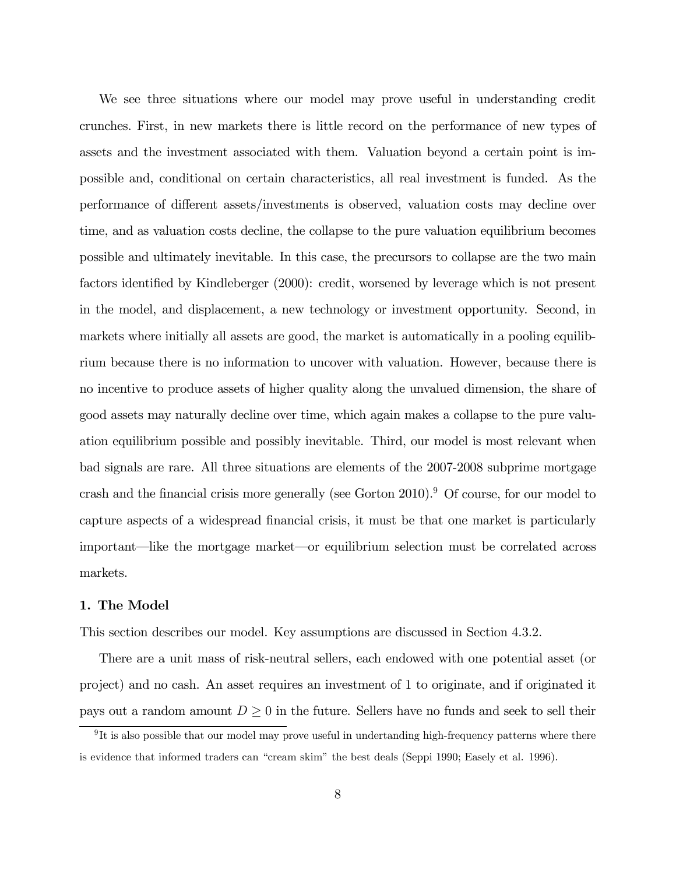We see three situations where our model may prove useful in understanding credit crunches. First, in new markets there is little record on the performance of new types of assets and the investment associated with them. Valuation beyond a certain point is impossible and, conditional on certain characteristics, all real investment is funded. As the performance of different assets/investments is observed, valuation costs may decline over time, and as valuation costs decline, the collapse to the pure valuation equilibrium becomes possible and ultimately inevitable. In this case, the precursors to collapse are the two main factors identified by Kindleberger (2000): credit, worsened by leverage which is not present in the model, and displacement, a new technology or investment opportunity. Second, in markets where initially all assets are good, the market is automatically in a pooling equilibrium because there is no information to uncover with valuation. However, because there is no incentive to produce assets of higher quality along the unvalued dimension, the share of good assets may naturally decline over time, which again makes a collapse to the pure valuation equilibrium possible and possibly inevitable. Third, our model is most relevant when bad signals are rare. All three situations are elements of the 2007-2008 subprime mortgage crash and the financial crisis more generally (see Gorton  $2010$ ).<sup>9</sup> Of course, for our model to capture aspects of a widespread financial crisis, it must be that one market is particularly important–like the mortgage market–or equilibrium selection must be correlated across markets.

#### 1. The Model

This section describes our model. Key assumptions are discussed in Section 4.3.2.

There are a unit mass of risk-neutral sellers, each endowed with one potential asset (or project) and no cash. An asset requires an investment of 1 to originate, and if originated it pays out a random amount  $D \geq 0$  in the future. Sellers have no funds and seek to sell their

 $9$ It is also possible that our model may prove useful in undertanding high-frequency patterns where there is evidence that informed traders can "cream skim" the best deals (Seppi 1990; Easely et al. 1996).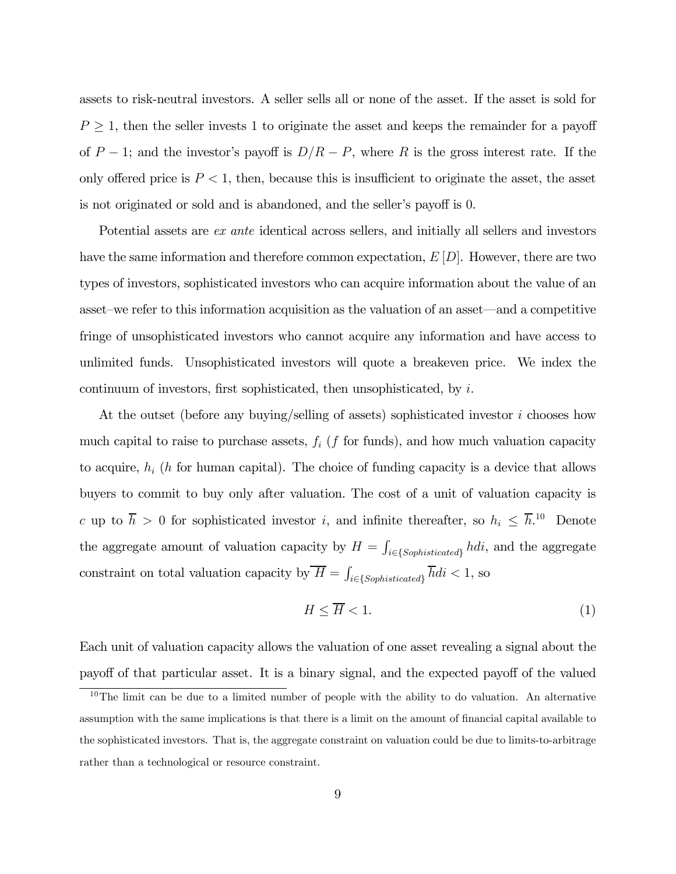assets to risk-neutral investors. A seller sells all or none of the asset. If the asset is sold for  $P \geq 1$ , then the seller invests 1 to originate the asset and keeps the remainder for a payoff of  $P-1$ ; and the investor's payoff is  $D/R-P$ , where R is the gross interest rate. If the only offered price is  $P < 1$ , then, because this is insufficient to originate the asset, the asset is not originated or sold and is abandoned, and the seller's payoff is 0.

Potential assets are *ex ante* identical across sellers, and initially all sellers and investors have the same information and therefore common expectation,  $E[D]$ . However, there are two types of investors, sophisticated investors who can acquire information about the value of an asset—we refer to this information acquisition as the valuation of an asset–and a competitive fringe of unsophisticated investors who cannot acquire any information and have access to unlimited funds. Unsophisticated investors will quote a breakeven price. We index the continuum of investors, first sophisticated, then unsophisticated, by  $i$ .

At the outset (before any buying/selling of assets) sophisticated investor  $i$  chooses how much capital to raise to purchase assets,  $f_i$  ( $f$  for funds), and how much valuation capacity to acquire,  $h_i$  (h for human capital). The choice of funding capacity is a device that allows buyers to commit to buy only after valuation. The cost of a unit of valuation capacity is c up to  $\bar{h} > 0$  for sophisticated investor *i*, and infinite thereafter, so  $h_i \leq \bar{h}$ <sup>10</sup> Denote the aggregate amount of valuation capacity by  $H = \int_{i \in \{Sophisticated\}} hdi$ , and the aggregate constraint on total valuation capacity by  $\overline{H} = \int_{i \in \{Sophisticated\}} \overline{h}di < 1$ , so

$$
H \le \overline{H} < 1. \tag{1}
$$

Each unit of valuation capacity allows the valuation of one asset revealing a signal about the payoff of that particular asset. It is a binary signal, and the expected payoff of the valued

<sup>&</sup>lt;sup>10</sup>The limit can be due to a limited number of people with the ability to do valuation. An alternative assumption with the same implications is that there is a limit on the amount of financial capital available to the sophisticated investors. That is, the aggregate constraint on valuation could be due to limits-to-arbitrage rather than a technological or resource constraint.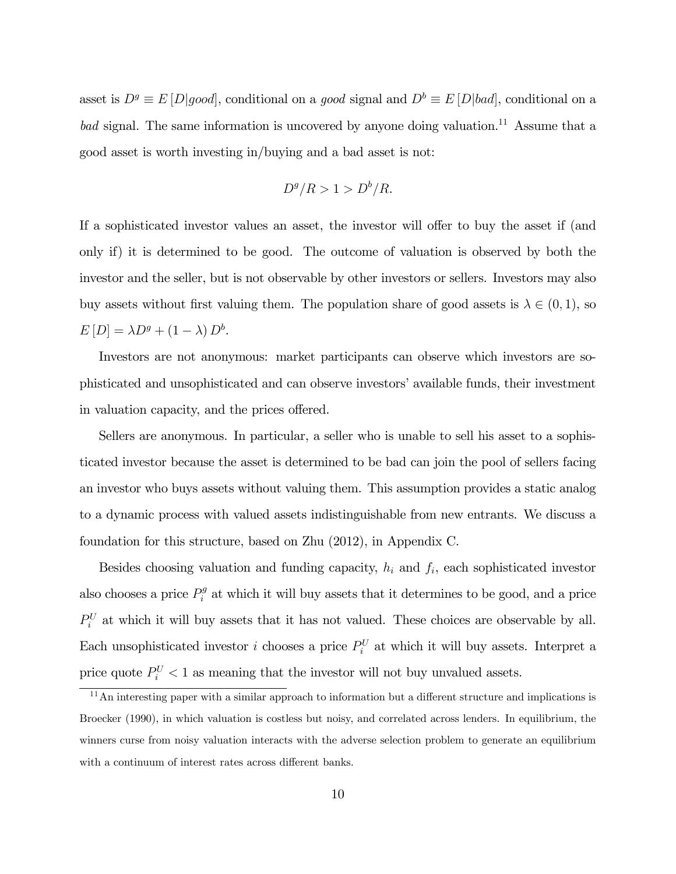asset is  $D^g \equiv E[D|good]$ , conditional on a good signal and  $D^b \equiv E[D|bad]$ , conditional on a  $bad$  signal. The same information is uncovered by anyone doing valuation.<sup>11</sup> Assume that a good asset is worth investing in/buying and a bad asset is not:

$$
D^g/R > 1 > D^b/R.
$$

If a sophisticated investor values an asset, the investor will offer to buy the asset if (and only if) it is determined to be good. The outcome of valuation is observed by both the investor and the seller, but is not observable by other investors or sellers. Investors may also buy assets without first valuing them. The population share of good assets is  $\lambda \in (0,1)$ , so  $E[D] = \lambda D^g + (1 - \lambda) D^b.$ 

Investors are not anonymous: market participants can observe which investors are sophisticated and unsophisticated and can observe investors' available funds, their investment in valuation capacity, and the prices offered.

Sellers are anonymous. In particular, a seller who is unable to sell his asset to a sophisticated investor because the asset is determined to be bad can join the pool of sellers facing an investor who buys assets without valuing them. This assumption provides a static analog to a dynamic process with valued assets indistinguishable from new entrants. We discuss a foundation for this structure, based on Zhu (2012), in Appendix C.

Besides choosing valuation and funding capacity,  $h_i$  and  $f_i$ , each sophisticated investor also chooses a price  $P_i^g$  at which it will buy assets that it determines to be good, and a price  $P_i^U$  at which it will buy assets that it has not valued. These choices are observable by all. Each unsophisticated investor *i* chooses a price  $P_i^U$  at which it will buy assets. Interpret a price quote  $P_i^U < 1$  as meaning that the investor will not buy unvalued assets.

 $11$ An interesting paper with a similar approach to information but a different structure and implications is Broecker (1990), in which valuation is costless but noisy, and correlated across lenders. In equilibrium, the winners curse from noisy valuation interacts with the adverse selection problem to generate an equilibrium with a continuum of interest rates across different banks.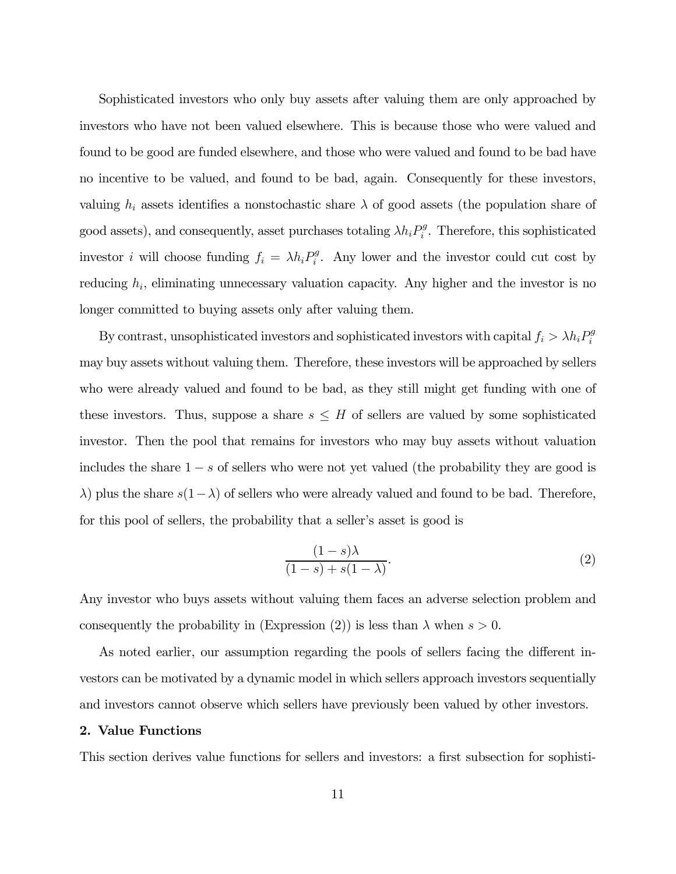Sophisticated investors who only buy assets after valuing them are only approached by investors who have not been valued elsewhere. This is because those who were valued and found to be good are funded elsewhere, and those who were valued and found to be bad have no incentive to be valued, and found to be bad, again. Consequently for these investors, valuing  $h_i$  assets identifies a nonstochastic share  $\lambda$  of good assets (the population share of good assets), and consequently, asset purchases totaling  $\lambda h_i P_i^g$ . Therefore, this sophisticated investor *i* will choose funding  $f_i = \lambda h_i P_i^g$ . Any lower and the investor could cut cost by reducing  $h_i$ , eliminating unnecessary valuation capacity. Any higher and the investor is no longer committed to buying assets only after valuing them.

By contrast, unsophisticated investors and sophisticated investors with capital  $f_i > \lambda h_i P_i^g$ may buy assets without valuing them. Therefore, these investors will be approached by sellers who were already valued and found to be bad, as they still might get funding with one of these investors. Thus, suppose a share  $s \leq H$  of sellers are valued by some sophisticated investor. Then the pool that remains for investors who may buy assets without valuation includes the share  $1 - s$  of sellers who were not yet valued (the probability they are good is  $\lambda$ ) plus the share  $s(1-\lambda)$  of sellers who were already valued and found to be bad. Therefore, for this pool of sellers, the probability that a seller's asset is good is

$$
\frac{(1-s)\lambda}{(1-s)+s(1-\lambda)}.\tag{2}
$$

Any investor who buys assets without valuing them faces an adverse selection problem and consequently the probability in (Expression (2)) is less than  $\lambda$  when  $s > 0$ .

As noted earlier, our assumption regarding the pools of sellers facing the different investors can be motivated by a dynamic model in which sellers approach investors sequentially and investors cannot observe which sellers have previously been valued by other investors.

#### 2. Value Functions

This section derives value functions for sellers and investors: a first subsection for sophisti-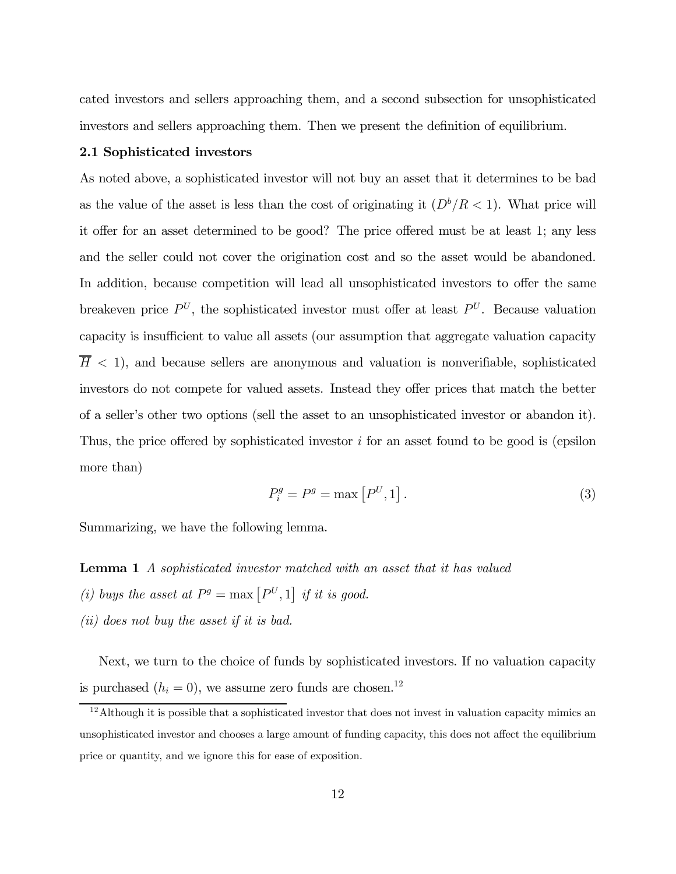cated investors and sellers approaching them, and a second subsection for unsophisticated investors and sellers approaching them. Then we present the definition of equilibrium.

## 2.1 Sophisticated investors

As noted above, a sophisticated investor will not buy an asset that it determines to be bad as the value of the asset is less than the cost of originating it  $(D^b/R < 1)$ . What price will it offer for an asset determined to be good? The price offered must be at least 1; any less and the seller could not cover the origination cost and so the asset would be abandoned. In addition, because competition will lead all unsophisticated investors to offer the same breakeven price  $P^U$ , the sophisticated investor must offer at least  $P^U$ . Because valuation capacity is insufficient to value all assets (our assumption that aggregate valuation capacity  $\overline{H}$  < 1), and because sellers are anonymous and valuation is nonverifiable, sophisticated investors do not compete for valued assets. Instead they offer prices that match the better of a seller's other two options (sell the asset to an unsophisticated investor or abandon it). Thus, the price offered by sophisticated investor  $i$  for an asset found to be good is (epsilon more than)

$$
P_i^g = P^g = \max\left[P^U, 1\right].\tag{3}
$$

Summarizing, we have the following lemma.

### Lemma 1 A sophisticated investor matched with an asset that it has valued

- (i) buys the asset at  $P^g = \max [P^U, 1]$  if it is good.
- (ii) does not buy the asset if it is bad.

Next, we turn to the choice of funds by sophisticated investors. If no valuation capacity is purchased  $(h_i = 0)$ , we assume zero funds are chosen.<sup>12</sup>

 $12$ Although it is possible that a sophisticated investor that does not invest in valuation capacity mimics an unsophisticated investor and chooses a large amount of funding capacity, this does not affect the equilibrium price or quantity, and we ignore this for ease of exposition.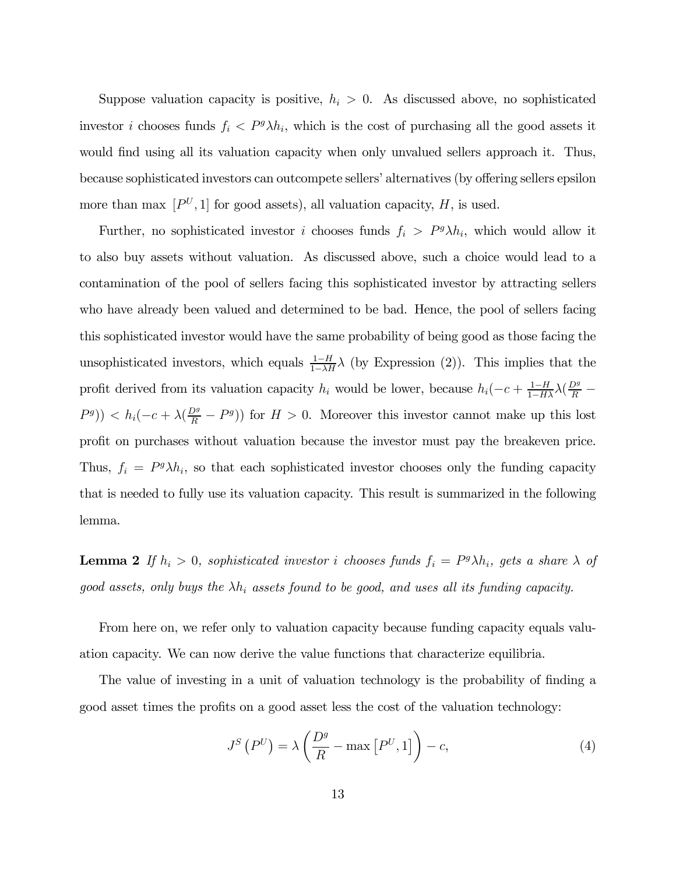Suppose valuation capacity is positive,  $h_i > 0$ . As discussed above, no sophisticated investor *i* chooses funds  $f_i < P^g \lambda h_i$ , which is the cost of purchasing all the good assets it would find using all its valuation capacity when only unvalued sellers approach it. Thus, because sophisticated investors can outcompete sellers' alternatives (by offering sellers epsilon more than max  $[P^U, 1]$  for good assets), all valuation capacity, H, is used.

Further, no sophisticated investor *i* chooses funds  $f_i > P^g \lambda h_i$ , which would allow it to also buy assets without valuation. As discussed above, such a choice would lead to a contamination of the pool of sellers facing this sophisticated investor by attracting sellers who have already been valued and determined to be bad. Hence, the pool of sellers facing this sophisticated investor would have the same probability of being good as those facing the unsophisticated investors, which equals  $\frac{1-H}{1-\lambda H}\lambda$  (by Expression (2)). This implies that the profit derived from its valuation capacity  $h_i$  would be lower, because  $h_i(-c + \frac{1-H}{1-H\lambda})(\frac{D^g}{R} (P^g)$ )  $\langle h_i(-c + \lambda(\frac{D^g}{R} - P^g)) \rangle$  for  $H > 0$ . Moreover this investor cannot make up this lost profit on purchases without valuation because the investor must pay the breakeven price. Thus,  $f_i = P^g \lambda h_i$ , so that each sophisticated investor chooses only the funding capacity that is needed to fully use its valuation capacity. This result is summarized in the following lemma.

**Lemma 2** If  $h_i > 0$ , sophisticated investor *i* chooses funds  $f_i = P^g \lambda h_i$ , gets a share  $\lambda$  of good assets, only buys the  $\lambda h_i$  assets found to be good, and uses all its funding capacity.

From here on, we refer only to valuation capacity because funding capacity equals valuation capacity. We can now derive the value functions that characterize equilibria.

The value of investing in a unit of valuation technology is the probability of finding a good asset times the profits on a good asset less the cost of the valuation technology:

$$
J^{S}\left(P^{U}\right) = \lambda \left(\frac{D^{g}}{R} - \max\left[P^{U}, 1\right]\right) - c,\tag{4}
$$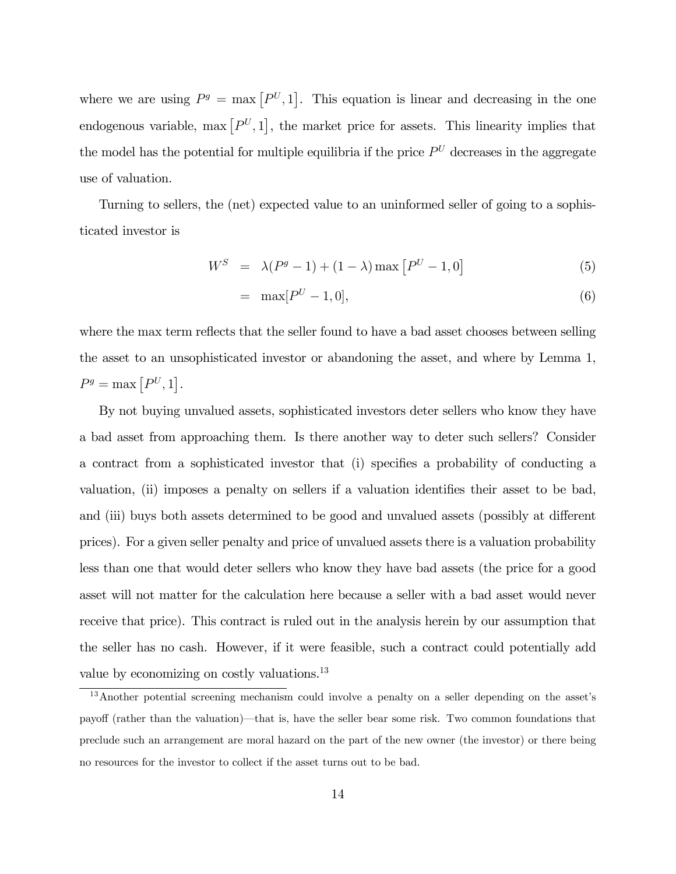where we are using  $P^g = \max[P^U, 1]$ . This equation is linear and decreasing in the one endogenous variable, max  $[P^U, 1]$ , the market price for assets. This linearity implies that the model has the potential for multiple equilibria if the price  $P<sup>U</sup>$  decreases in the aggregate use of valuation.

Turning to sellers, the (net) expected value to an uninformed seller of going to a sophisticated investor is

$$
W^{S} = \lambda (P^{g} - 1) + (1 - \lambda) \max [P^{U} - 1, 0]
$$
 (5)

$$
= \ \max[P^U - 1, 0], \tag{6}
$$

where the max term reflects that the seller found to have a bad asset chooses between selling the asset to an unsophisticated investor or abandoning the asset, and where by Lemma 1,  $P^g = \max [P^U, 1].$ 

By not buying unvalued assets, sophisticated investors deter sellers who know they have a bad asset from approaching them. Is there another way to deter such sellers? Consider a contract from a sophisticated investor that (i) specifies a probability of conducting a valuation, (ii) imposes a penalty on sellers if a valuation identifies their asset to be bad, and (iii) buys both assets determined to be good and unvalued assets (possibly at different prices). For a given seller penalty and price of unvalued assets there is a valuation probability less than one that would deter sellers who know they have bad assets (the price for a good asset will not matter for the calculation here because a seller with a bad asset would never receive that price). This contract is ruled out in the analysis herein by our assumption that the seller has no cash. However, if it were feasible, such a contract could potentially add value by economizing on costly valuations.13

<sup>&</sup>lt;sup>13</sup>Another potential screening mechanism could involve a penalty on a seller depending on the asset's payoff (rather than the valuation)–that is, have the seller bear some risk. Two common foundations that preclude such an arrangement are moral hazard on the part of the new owner (the investor) or there being no resources for the investor to collect if the asset turns out to be bad.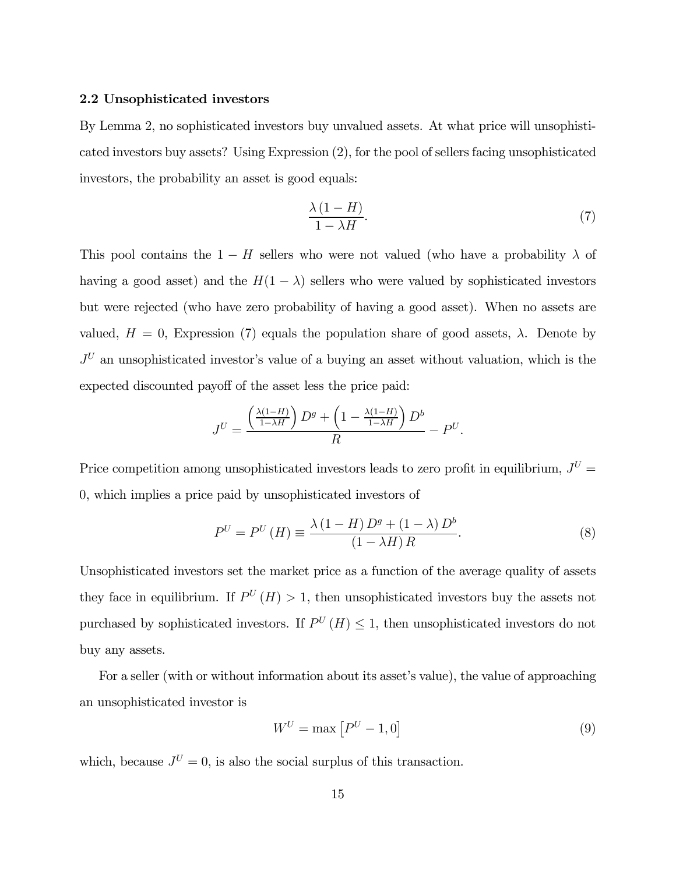### 2.2 Unsophisticated investors

By Lemma 2, no sophisticated investors buy unvalued assets. At what price will unsophisticated investors buy assets? Using Expression (2), for the pool of sellers facing unsophisticated investors, the probability an asset is good equals:

$$
\frac{\lambda (1 - H)}{1 - \lambda H}.\tag{7}
$$

This pool contains the 1 − H sellers who were not valued (who have a probability  $\lambda$  of having a good asset) and the  $H(1 - \lambda)$  sellers who were valued by sophisticated investors but were rejected (who have zero probability of having a good asset). When no assets are valued,  $H = 0$ , Expression (7) equals the population share of good assets,  $\lambda$ . Denote by  $J<sup>U</sup>$  an unsophisticated investor's value of a buying an asset without valuation, which is the expected discounted payoff of the asset less the price paid:

$$
J^{U} = \frac{\left(\frac{\lambda(1-H)}{1-\lambda H}\right)D^{g} + \left(1 - \frac{\lambda(1-H)}{1-\lambda H}\right)D^{b}}{R} - P^{U}.
$$

Price competition among unsophisticated investors leads to zero profit in equilibrium,  $J^U$  = 0, which implies a price paid by unsophisticated investors of

$$
P^{U} = P^{U}(H) \equiv \frac{\lambda (1 - H) D^{g} + (1 - \lambda) D^{b}}{(1 - \lambda H) R}.
$$
\n
$$
(8)
$$

Unsophisticated investors set the market price as a function of the average quality of assets they face in equilibrium. If  $P^{U}(H) > 1$ , then unsophisticated investors buy the assets not purchased by sophisticated investors. If  $P^{U}(H) \leq 1$ , then unsophisticated investors do not buy any assets.

For a seller (with or without information about its asset's value), the value of approaching an unsophisticated investor is

$$
W^U = \max\left[P^U - 1, 0\right] \tag{9}
$$

which, because  $J^U = 0$ , is also the social surplus of this transaction.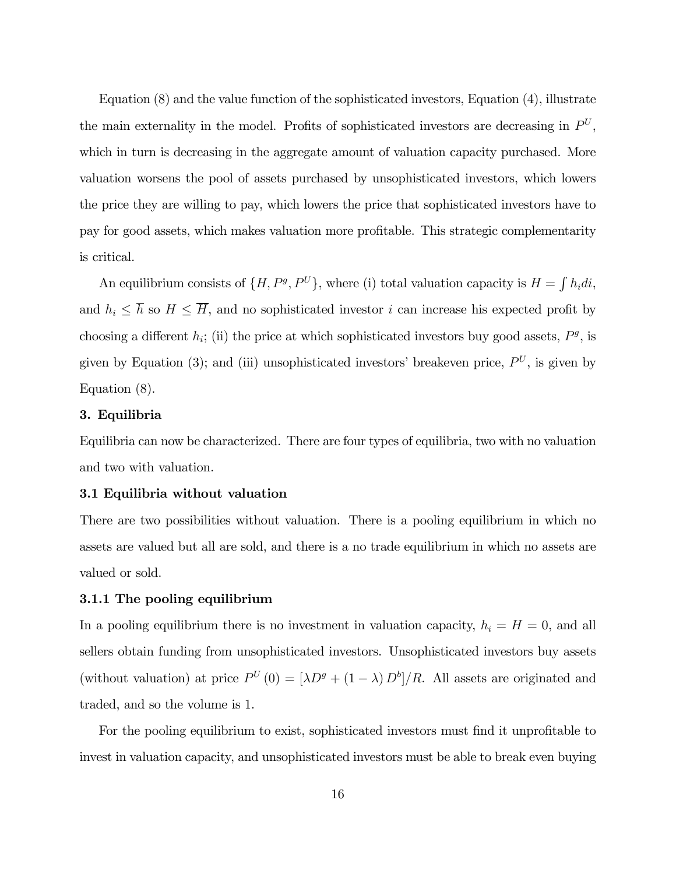Equation (8) and the value function of the sophisticated investors, Equation (4), illustrate the main externality in the model. Profits of sophisticated investors are decreasing in  $P^U$ , which in turn is decreasing in the aggregate amount of valuation capacity purchased. More valuation worsens the pool of assets purchased by unsophisticated investors, which lowers the price they are willing to pay, which lowers the price that sophisticated investors have to pay for good assets, which makes valuation more profitable. This strategic complementarity is critical.

An equilibrium consists of  $\{H, P^g, P^U\}$ , where (i) total valuation capacity is  $H = \int h_i di$ , and  $h_i \leq \overline{h}$  so  $H \leq \overline{H}$ , and no sophisticated investor *i* can increase his expected profit by choosing a different  $h_i$ ; (ii) the price at which sophisticated investors buy good assets,  $P^g$ , is given by Equation (3); and (iii) unsophisticated investors' breakeven price,  $P^U$ , is given by Equation (8).

#### 3. Equilibria

Equilibria can now be characterized. There are four types of equilibria, two with no valuation and two with valuation.

#### 3.1 Equilibria without valuation

There are two possibilities without valuation. There is a pooling equilibrium in which no assets are valued but all are sold, and there is a no trade equilibrium in which no assets are valued or sold.

#### 3.1.1 The pooling equilibrium

In a pooling equilibrium there is no investment in valuation capacity,  $h_i = H = 0$ , and all sellers obtain funding from unsophisticated investors. Unsophisticated investors buy assets (without valuation) at price  $P^{U}(0) = [\lambda D^{g} + (1 - \lambda) D^{b}]/R$ . All assets are originated and traded, and so the volume is 1.

For the pooling equilibrium to exist, sophisticated investors must find it unprofitable to invest in valuation capacity, and unsophisticated investors must be able to break even buying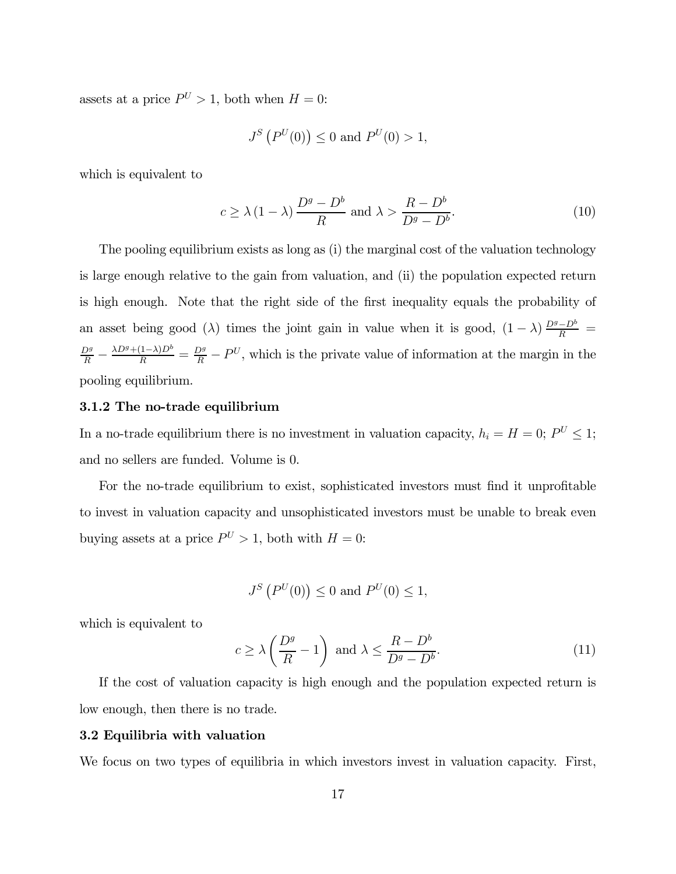assets at a price  $P^U > 1$ , both when  $H = 0$ :

$$
J^S\left(P^U(0)\right) \le 0 \text{ and } P^U(0) > 1,
$$

which is equivalent to

$$
c \ge \lambda (1 - \lambda) \frac{D^g - D^b}{R} \text{ and } \lambda > \frac{R - D^b}{D^g - D^b}.
$$
 (10)

The pooling equilibrium exists as long as (i) the marginal cost of the valuation technology is large enough relative to the gain from valuation, and (ii) the population expected return is high enough. Note that the right side of the first inequality equals the probability of an asset being good ( $\lambda$ ) times the joint gain in value when it is good,  $(1 - \lambda) \frac{D^g - D^b}{R} =$  $\frac{D^g}{R} - \frac{\lambda D^g + (1-\lambda)D^b}{R} = \frac{D^g}{R} - P^U$ , which is the private value of information at the margin in the pooling equilibrium.

## 3.1.2 The no-trade equilibrium

In a no-trade equilibrium there is no investment in valuation capacity,  $h_i = H = 0$ ;  $P^U \le 1$ ; and no sellers are funded. Volume is 0.

For the no-trade equilibrium to exist, sophisticated investors must find it unprofitable to invest in valuation capacity and unsophisticated investors must be unable to break even buying assets at a price  $P^U > 1$ , both with  $H = 0$ :

$$
J^S\left(P^U(0)\right) \le 0 \text{ and } P^U(0) \le 1,
$$

which is equivalent to

$$
c \ge \lambda \left(\frac{D^g}{R} - 1\right) \text{ and } \lambda \le \frac{R - D^b}{D^g - D^b}.\tag{11}
$$

If the cost of valuation capacity is high enough and the population expected return is low enough, then there is no trade.

### 3.2 Equilibria with valuation

We focus on two types of equilibria in which investors invest in valuation capacity. First,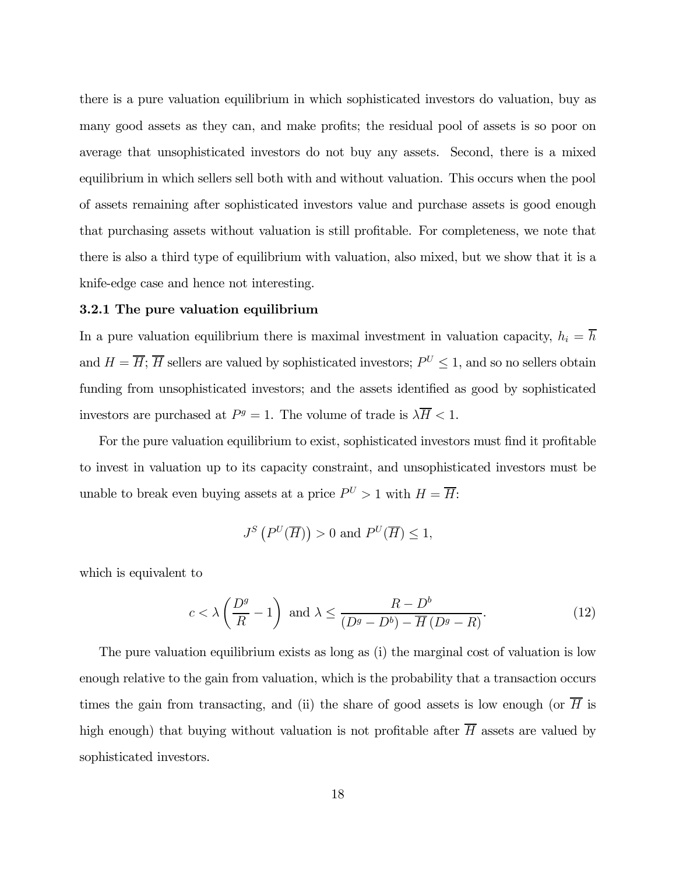there is a pure valuation equilibrium in which sophisticated investors do valuation, buy as many good assets as they can, and make profits; the residual pool of assets is so poor on average that unsophisticated investors do not buy any assets. Second, there is a mixed equilibrium in which sellers sell both with and without valuation. This occurs when the pool of assets remaining after sophisticated investors value and purchase assets is good enough that purchasing assets without valuation is still profitable. For completeness, we note that there is also a third type of equilibrium with valuation, also mixed, but we show that it is a knife-edge case and hence not interesting.

## 3.2.1 The pure valuation equilibrium

In a pure valuation equilibrium there is maximal investment in valuation capacity,  $h_i = \overline{h}$ and  $H = \overline{H}$ ;  $\overline{H}$  sellers are valued by sophisticated investors;  $P^U \leq 1$ , and so no sellers obtain funding from unsophisticated investors; and the assets identified as good by sophisticated investors are purchased at  $P^g = 1$ . The volume of trade is  $\lambda \overline{H} < 1$ .

For the pure valuation equilibrium to exist, sophisticated investors must find it profitable to invest in valuation up to its capacity constraint, and unsophisticated investors must be unable to break even buying assets at a price  $P^U > 1$  with  $H = \overline{H}$ :

$$
J^S\left(P^U(\overline{H})\right) > 0 \text{ and } P^U(\overline{H}) \le 1,
$$

which is equivalent to

$$
c < \lambda \left(\frac{D^g}{R} - 1\right) \text{ and } \lambda \le \frac{R - D^b}{\left(D^g - D^b\right) - \overline{H}\left(D^g - R\right)}.\tag{12}
$$

The pure valuation equilibrium exists as long as (i) the marginal cost of valuation is low enough relative to the gain from valuation, which is the probability that a transaction occurs times the gain from transacting, and (ii) the share of good assets is low enough (or  $\overline{H}$  is high enough) that buying without valuation is not profitable after  $\overline{H}$  assets are valued by sophisticated investors.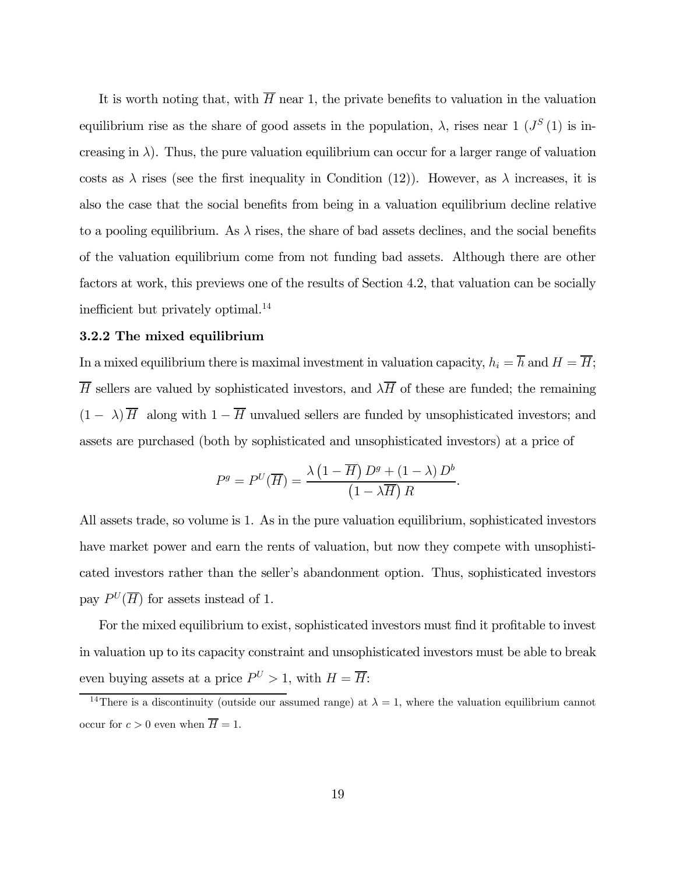It is worth noting that, with  $\overline{H}$  near 1, the private benefits to valuation in the valuation equilibrium rise as the share of good assets in the population,  $\lambda$ , rises near 1 ( $J^S(1)$  is increasing in  $\lambda$ ). Thus, the pure valuation equilibrium can occur for a larger range of valuation costs as  $\lambda$  rises (see the first inequality in Condition (12)). However, as  $\lambda$  increases, it is also the case that the social benefits from being in a valuation equilibrium decline relative to a pooling equilibrium. As  $\lambda$  rises, the share of bad assets declines, and the social benefits of the valuation equilibrium come from not funding bad assets. Although there are other factors at work, this previews one of the results of Section 4.2, that valuation can be socially inefficient but privately optimal.<sup>14</sup>

## 3.2.2 The mixed equilibrium

In a mixed equilibrium there is maximal investment in valuation capacity,  $h_i = \overline{h}$  and  $H = \overline{H}$ ;  $\overline{H}$  sellers are valued by sophisticated investors, and  $\lambda \overline{H}$  of these are funded; the remaining  $(1 - \lambda) \overline{H}$  along with  $1 - \overline{H}$  unvalued sellers are funded by unsophisticated investors; and assets are purchased (both by sophisticated and unsophisticated investors) at a price of

$$
P^{g} = P^{U}(\overline{H}) = \frac{\lambda \left(1 - \overline{H}\right) D^{g} + \left(1 - \lambda\right) D^{b}}{\left(1 - \lambda \overline{H}\right) R}.
$$

All assets trade, so volume is 1. As in the pure valuation equilibrium, sophisticated investors have market power and earn the rents of valuation, but now they compete with unsophisticated investors rather than the seller's abandonment option. Thus, sophisticated investors pay  $P^U(\overline{H})$  for assets instead of 1.

For the mixed equilibrium to exist, sophisticated investors must find it profitable to invest in valuation up to its capacity constraint and unsophisticated investors must be able to break even buying assets at a price  $P^U > 1$ , with  $H = \overline{H}$ :

<sup>&</sup>lt;sup>14</sup>There is a discontinuity (outside our assumed range) at  $\lambda = 1$ , where the valuation equilibrium cannot occur for  $c > 0$  even when  $\overline{H} = 1$ .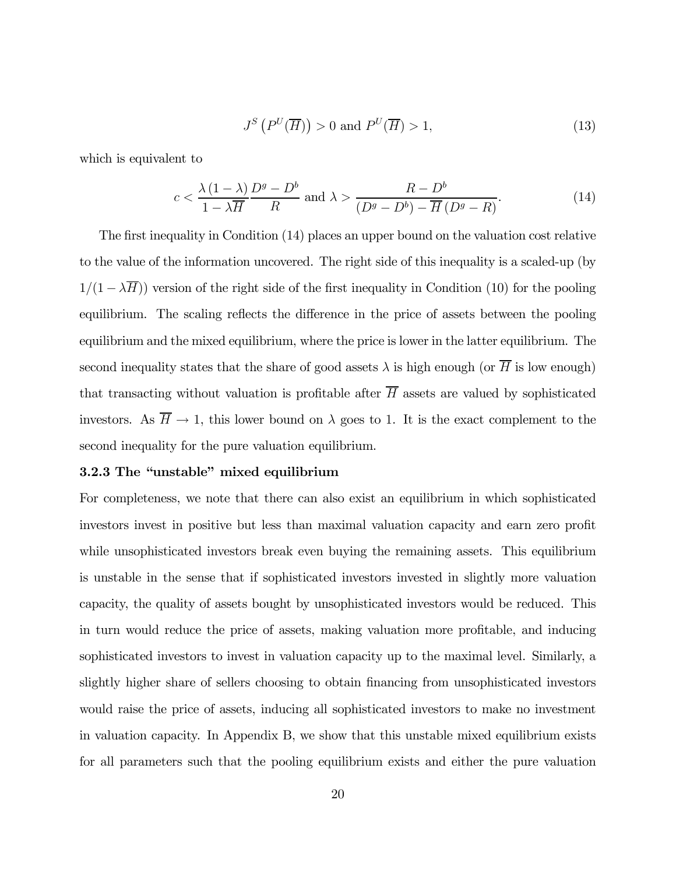$$
J^S\left(P^U(\overline{H})\right) > 0 \text{ and } P^U(\overline{H}) > 1,
$$
\n<sup>(13)</sup>

which is equivalent to

$$
c < \frac{\lambda (1 - \lambda) D^g - D^b}{1 - \lambda \overline{H}} \text{ and } \lambda > \frac{R - D^b}{(D^g - D^b) - \overline{H}(D^g - R)}.
$$
 (14)

The first inequality in Condition (14) places an upper bound on the valuation cost relative to the value of the information uncovered. The right side of this inequality is a scaled-up (by  $1/(1 - \lambda \overline{H})$ ) version of the right side of the first inequality in Condition (10) for the pooling equilibrium. The scaling reflects the difference in the price of assets between the pooling equilibrium and the mixed equilibrium, where the price is lower in the latter equilibrium. The second inequality states that the share of good assets  $\lambda$  is high enough (or  $\overline{H}$  is low enough) that transacting without valuation is profitable after  $\overline{H}$  assets are valued by sophisticated investors. As  $\overline{H} \to 1$ , this lower bound on  $\lambda$  goes to 1. It is the exact complement to the second inequality for the pure valuation equilibrium.

## 3.2.3 The "unstable" mixed equilibrium

For completeness, we note that there can also exist an equilibrium in which sophisticated investors invest in positive but less than maximal valuation capacity and earn zero profit while unsophisticated investors break even buying the remaining assets. This equilibrium is unstable in the sense that if sophisticated investors invested in slightly more valuation capacity, the quality of assets bought by unsophisticated investors would be reduced. This in turn would reduce the price of assets, making valuation more profitable, and inducing sophisticated investors to invest in valuation capacity up to the maximal level. Similarly, a slightly higher share of sellers choosing to obtain financing from unsophisticated investors would raise the price of assets, inducing all sophisticated investors to make no investment in valuation capacity. In Appendix B, we show that this unstable mixed equilibrium exists for all parameters such that the pooling equilibrium exists and either the pure valuation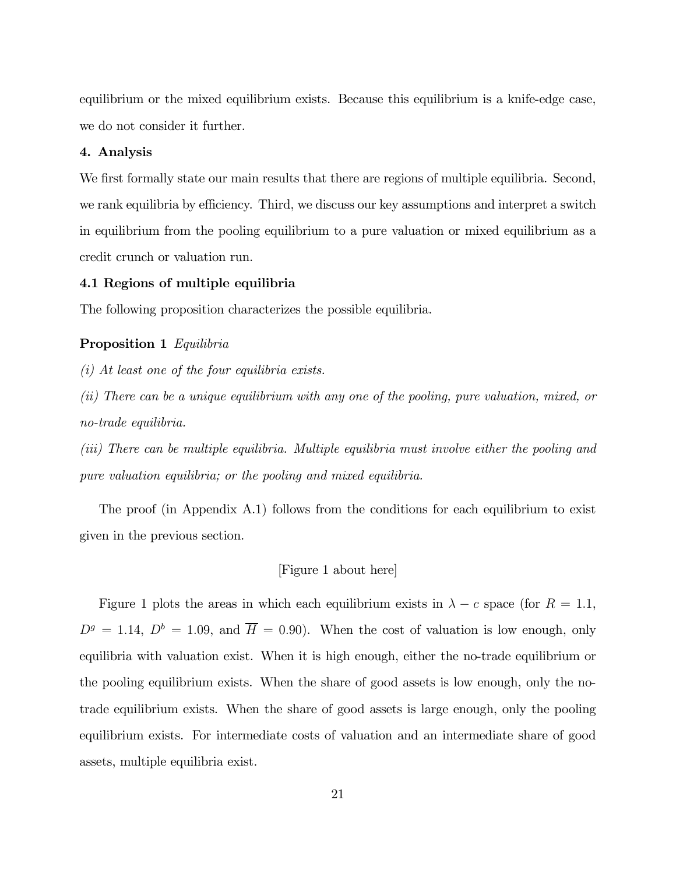equilibrium or the mixed equilibrium exists. Because this equilibrium is a knife-edge case, we do not consider it further.

## 4. Analysis

We first formally state our main results that there are regions of multiple equilibria. Second, we rank equilibria by efficiency. Third, we discuss our key assumptions and interpret a switch in equilibrium from the pooling equilibrium to a pure valuation or mixed equilibrium as a credit crunch or valuation run.

### 4.1 Regions of multiple equilibria

The following proposition characterizes the possible equilibria.

### Proposition 1 Equilibria

(i) At least one of the four equilibria exists.

(ii) There can be a unique equilibrium with any one of the pooling, pure valuation, mixed, or no-trade equilibria.

(iii) There can be multiple equilibria. Multiple equilibria must involve either the pooling and pure valuation equilibria; or the pooling and mixed equilibria.

The proof (in Appendix A.1) follows from the conditions for each equilibrium to exist given in the previous section.

## [Figure 1 about here]

Figure 1 plots the areas in which each equilibrium exists in  $\lambda - c$  space (for  $R = 1.1$ ,  $D^g = 1.14$ ,  $D^b = 1.09$ , and  $\overline{H} = 0.90$ . When the cost of valuation is low enough, only equilibria with valuation exist. When it is high enough, either the no-trade equilibrium or the pooling equilibrium exists. When the share of good assets is low enough, only the notrade equilibrium exists. When the share of good assets is large enough, only the pooling equilibrium exists. For intermediate costs of valuation and an intermediate share of good assets, multiple equilibria exist.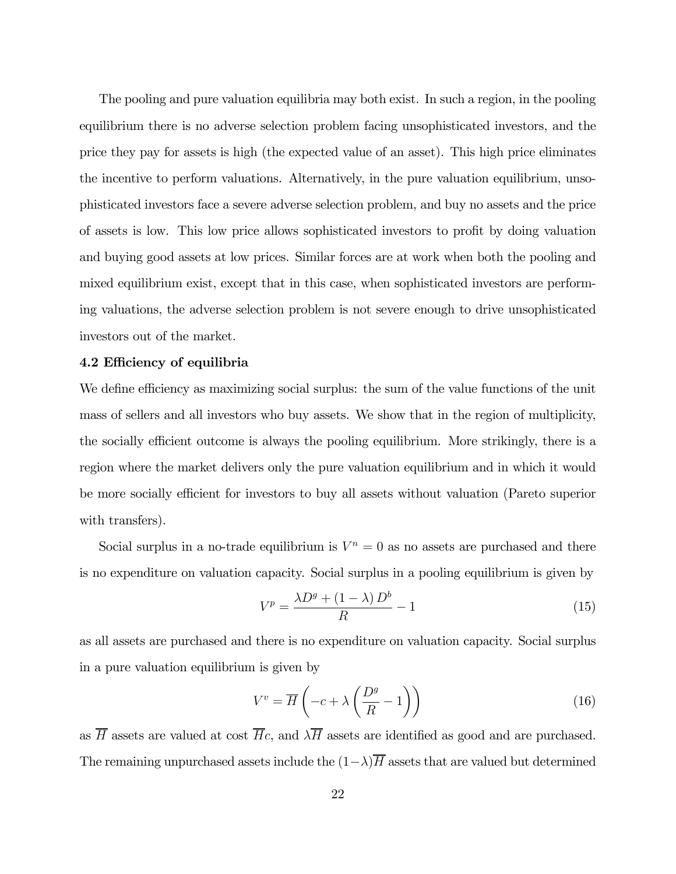The pooling and pure valuation equilibria may both exist. In such a region, in the pooling equilibrium there is no adverse selection problem facing unsophisticated investors, and the price they pay for assets is high (the expected value of an asset). This high price eliminates the incentive to perform valuations. Alternatively, in the pure valuation equilibrium, unsophisticated investors face a severe adverse selection problem, and buy no assets and the price of assets is low. This low price allows sophisticated investors to profit by doing valuation and buying good assets at low prices. Similar forces are at work when both the pooling and mixed equilibrium exist, except that in this case, when sophisticated investors are performing valuations, the adverse selection problem is not severe enough to drive unsophisticated investors out of the market.

## 4.2 Efficiency of equilibria

We define efficiency as maximizing social surplus: the sum of the value functions of the unit mass of sellers and all investors who buy assets. We show that in the region of multiplicity, the socially efficient outcome is always the pooling equilibrium. More strikingly, there is a region where the market delivers only the pure valuation equilibrium and in which it would be more socially efficient for investors to buy all assets without valuation (Pareto superior with transfers).

Social surplus in a no-trade equilibrium is  $V^n = 0$  as no assets are purchased and there is no expenditure on valuation capacity. Social surplus in a pooling equilibrium is given by

$$
V^{p} = \frac{\lambda D^{g} + (1 - \lambda) D^{b}}{R} - 1
$$
\n(15)

as all assets are purchased and there is no expenditure on valuation capacity. Social surplus in a pure valuation equilibrium is given by

$$
V^v = \overline{H}\left(-c + \lambda \left(\frac{D^g}{R} - 1\right)\right) \tag{16}
$$

as  $\overline{H}$  assets are valued at cost  $\overline{H}c$ , and  $\lambda \overline{H}$  assets are identified as good and are purchased. The remaining unpurchased assets include the  $(1-\lambda)\overline{H}$  assets that are valued but determined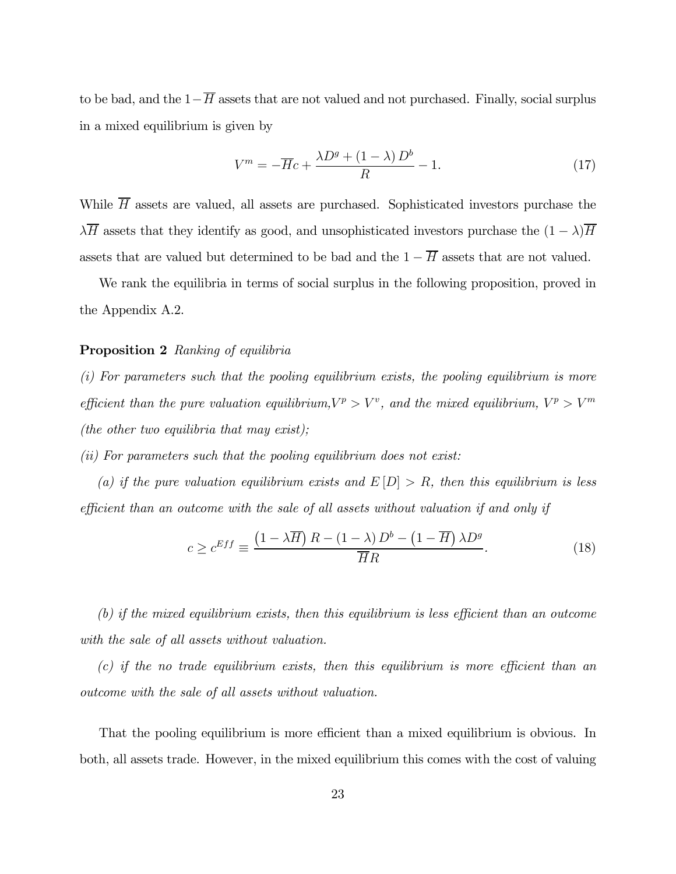to be bad, and the  $1-\overline{H}$  assets that are not valued and not purchased. Finally, social surplus in a mixed equilibrium is given by

$$
V^{m} = -\overline{H}c + \frac{\lambda D^{g} + (1 - \lambda) D^{b}}{R} - 1.
$$
\n(17)

While  $\overline{H}$  assets are valued, all assets are purchased. Sophisticated investors purchase the  $\lambda \overline{H}$  assets that they identify as good, and unsophisticated investors purchase the  $(1 - \lambda) \overline{H}$ assets that are valued but determined to be bad and the  $1 - \overline{H}$  assets that are not valued.

We rank the equilibria in terms of social surplus in the following proposition, proved in the Appendix A.2.

#### Proposition 2 Ranking of equilibria

(i) For parameters such that the pooling equilibrium exists, the pooling equilibrium is more efficient than the pure valuation equilibrium,  $V^p > V^v$ , and the mixed equilibrium,  $V^p > V^m$ (the other two equilibria that may exist);

 $(ii)$  For parameters such that the pooling equilibrium does not exist:

(a) if the pure valuation equilibrium exists and  $E[D] > R$ , then this equilibrium is less efficient than an outcome with the sale of all assets without valuation if and only if

$$
c \ge c^{Eff} \equiv \frac{\left(1 - \lambda \overline{H}\right)R - \left(1 - \lambda\right)D^b - \left(1 - \overline{H}\right)\lambda D^g}{\overline{H}R}.\tag{18}
$$

(b) if the mixed equilibrium exists, then this equilibrium is less efficient than an outcome with the sale of all assets without valuation.

(c) if the no trade equilibrium exists, then this equilibrium is more efficient than an outcome with the sale of all assets without valuation.

That the pooling equilibrium is more efficient than a mixed equilibrium is obvious. In both, all assets trade. However, in the mixed equilibrium this comes with the cost of valuing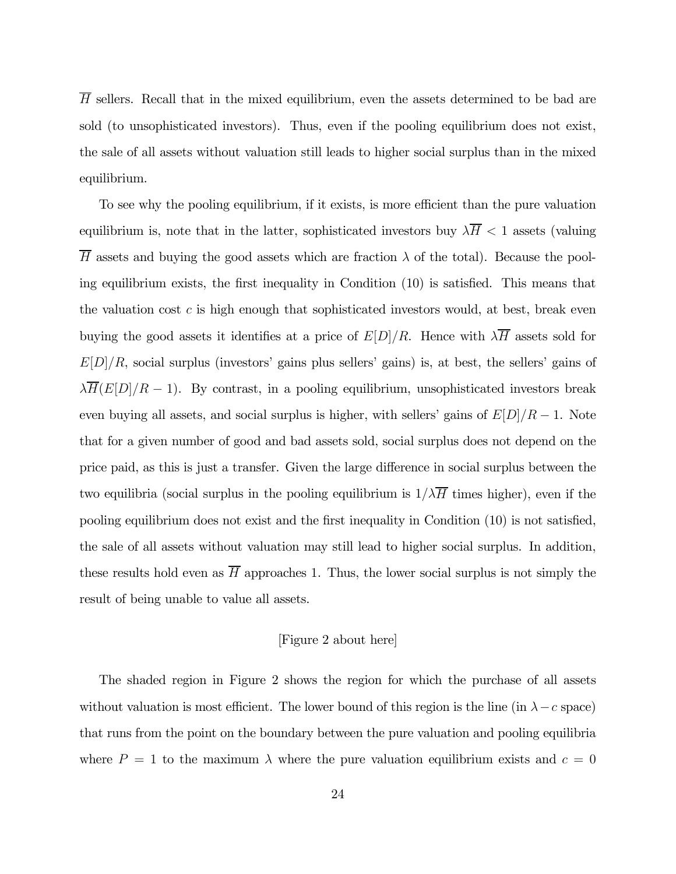$\overline{H}$  sellers. Recall that in the mixed equilibrium, even the assets determined to be bad are sold (to unsophisticated investors). Thus, even if the pooling equilibrium does not exist, the sale of all assets without valuation still leads to higher social surplus than in the mixed equilibrium.

To see why the pooling equilibrium, if it exists, is more efficient than the pure valuation equilibrium is, note that in the latter, sophisticated investors buy  $\lambda \overline{H}$  < 1 assets (valuing  $\overline{H}$  assets and buying the good assets which are fraction  $\lambda$  of the total). Because the pooling equilibrium exists, the first inequality in Condition (10) is satisfied. This means that the valuation cost  $c$  is high enough that sophisticated investors would, at best, break even buying the good assets it identifies at a price of  $E[D]/R$ . Hence with  $\lambda \overline{H}$  assets sold for  $E[D]/R$ , social surplus (investors' gains plus sellers' gains) is, at best, the sellers' gains of  $\lambda \overline{H}(E[D]/R - 1)$ . By contrast, in a pooling equilibrium, unsophisticated investors break even buying all assets, and social surplus is higher, with sellers' gains of  $E[D]/R - 1$ . Note that for a given number of good and bad assets sold, social surplus does not depend on the price paid, as this is just a transfer. Given the large difference in social surplus between the two equilibria (social surplus in the pooling equilibrium is  $1/\lambda \overline{H}$  times higher), even if the pooling equilibrium does not exist and the first inequality in Condition (10) is not satisfied, the sale of all assets without valuation may still lead to higher social surplus. In addition, these results hold even as  $\overline{H}$  approaches 1. Thus, the lower social surplus is not simply the result of being unable to value all assets.

## [Figure 2 about here]

The shaded region in Figure 2 shows the region for which the purchase of all assets without valuation is most efficient. The lower bound of this region is the line (in  $\lambda - c$  space) that runs from the point on the boundary between the pure valuation and pooling equilibria where  $P = 1$  to the maximum  $\lambda$  where the pure valuation equilibrium exists and  $c = 0$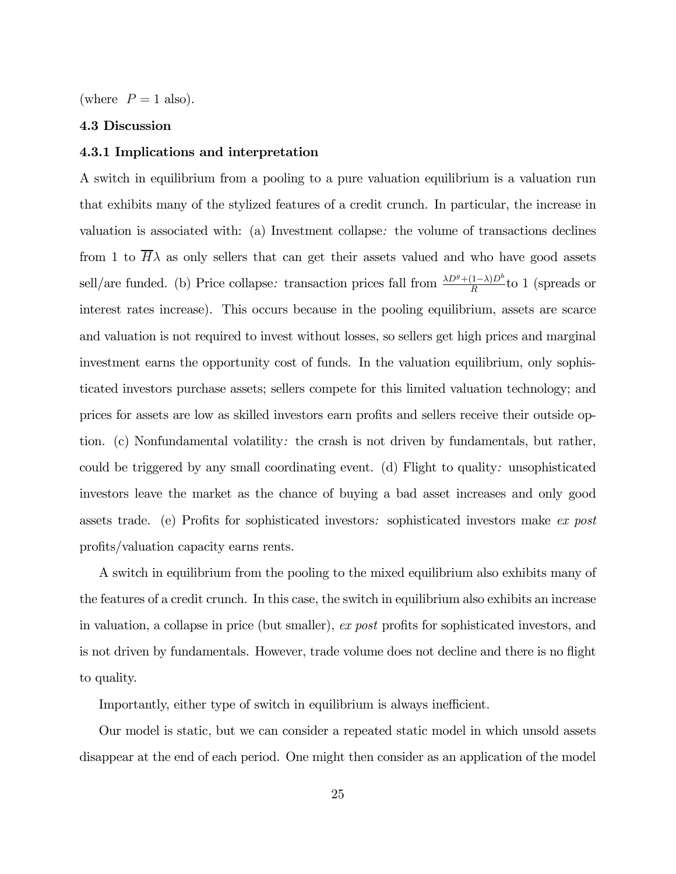(where  $P = 1$  also).

#### 4.3 Discussion

## 4.3.1 Implications and interpretation

A switch in equilibrium from a pooling to a pure valuation equilibrium is a valuation run that exhibits many of the stylized features of a credit crunch. In particular, the increase in valuation is associated with: (a) Investment collapse: the volume of transactions declines from 1 to  $\overline{H}\lambda$  as only sellers that can get their assets valued and who have good assets sell/are funded. (b) Price collapse: transaction prices fall from  $\frac{\lambda D^g + (1-\lambda)D^b}{R}$  to 1 (spreads or interest rates increase). This occurs because in the pooling equilibrium, assets are scarce and valuation is not required to invest without losses, so sellers get high prices and marginal investment earns the opportunity cost of funds. In the valuation equilibrium, only sophisticated investors purchase assets; sellers compete for this limited valuation technology; and prices for assets are low as skilled investors earn profits and sellers receive their outside option. (c) Nonfundamental volatility: the crash is not driven by fundamentals, but rather, could be triggered by any small coordinating event. (d) Flight to quality: unsophisticated investors leave the market as the chance of buying a bad asset increases and only good assets trade. (e) Profits for sophisticated investors: sophisticated investors make ex post profits/valuation capacity earns rents.

A switch in equilibrium from the pooling to the mixed equilibrium also exhibits many of the features of a credit crunch. In this case, the switch in equilibrium also exhibits an increase in valuation, a collapse in price (but smaller), ex post profits for sophisticated investors, and is not driven by fundamentals. However, trade volume does not decline and there is no flight to quality.

Importantly, either type of switch in equilibrium is always inefficient.

Our model is static, but we can consider a repeated static model in which unsold assets disappear at the end of each period. One might then consider as an application of the model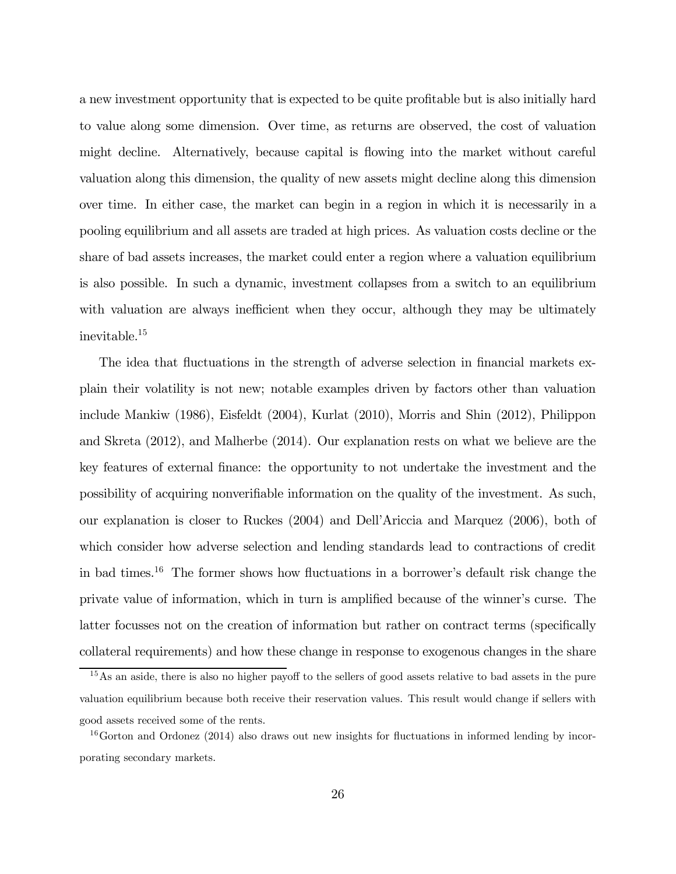a new investment opportunity that is expected to be quite profitable but is also initially hard to value along some dimension. Over time, as returns are observed, the cost of valuation might decline. Alternatively, because capital is flowing into the market without careful valuation along this dimension, the quality of new assets might decline along this dimension over time. In either case, the market can begin in a region in which it is necessarily in a pooling equilibrium and all assets are traded at high prices. As valuation costs decline or the share of bad assets increases, the market could enter a region where a valuation equilibrium is also possible. In such a dynamic, investment collapses from a switch to an equilibrium with valuation are always inefficient when they occur, although they may be ultimately inevitable.15

The idea that fluctuations in the strength of adverse selection in financial markets explain their volatility is not new; notable examples driven by factors other than valuation include Mankiw (1986), Eisfeldt (2004), Kurlat (2010), Morris and Shin (2012), Philippon and Skreta (2012), and Malherbe (2014). Our explanation rests on what we believe are the key features of external finance: the opportunity to not undertake the investment and the possibility of acquiring nonverifiable information on the quality of the investment. As such, our explanation is closer to Ruckes (2004) and Dell'Ariccia and Marquez (2006), both of which consider how adverse selection and lending standards lead to contractions of credit in bad times.16 The former shows how fluctuations in a borrower's default risk change the private value of information, which in turn is amplified because of the winner's curse. The latter focusses not on the creation of information but rather on contract terms (specifically collateral requirements) and how these change in response to exogenous changes in the share

<sup>&</sup>lt;sup>15</sup>As an aside, there is also no higher payoff to the sellers of good assets relative to bad assets in the pure valuation equilibrium because both receive their reservation values. This result would change if sellers with good assets received some of the rents.

 $16$ Gorton and Ordonez (2014) also draws out new insights for fluctuations in informed lending by incorporating secondary markets.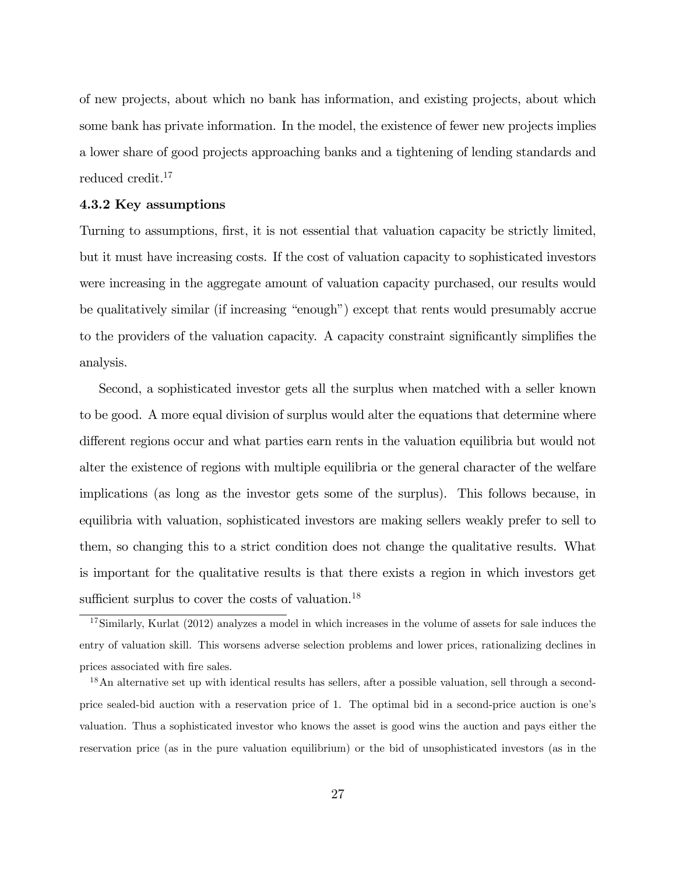of new projects, about which no bank has information, and existing projects, about which some bank has private information. In the model, the existence of fewer new projects implies a lower share of good projects approaching banks and a tightening of lending standards and reduced credit.<sup>17</sup>

#### 4.3.2 Key assumptions

Turning to assumptions, first, it is not essential that valuation capacity be strictly limited, but it must have increasing costs. If the cost of valuation capacity to sophisticated investors were increasing in the aggregate amount of valuation capacity purchased, our results would be qualitatively similar (if increasing "enough") except that rents would presumably accrue to the providers of the valuation capacity. A capacity constraint significantly simplifies the analysis.

Second, a sophisticated investor gets all the surplus when matched with a seller known to be good. A more equal division of surplus would alter the equations that determine where different regions occur and what parties earn rents in the valuation equilibria but would not alter the existence of regions with multiple equilibria or the general character of the welfare implications (as long as the investor gets some of the surplus). This follows because, in equilibria with valuation, sophisticated investors are making sellers weakly prefer to sell to them, so changing this to a strict condition does not change the qualitative results. What is important for the qualitative results is that there exists a region in which investors get sufficient surplus to cover the costs of valuation.<sup>18</sup>

<sup>17</sup>Similarly, Kurlat (2012) analyzes a model in which increases in the volume of assets for sale induces the entry of valuation skill. This worsens adverse selection problems and lower prices, rationalizing declines in prices associated with fire sales.

<sup>18</sup>An alternative set up with identical results has sellers, after a possible valuation, sell through a secondprice sealed-bid auction with a reservation price of 1. The optimal bid in a second-price auction is one's valuation. Thus a sophisticated investor who knows the asset is good wins the auction and pays either the reservation price (as in the pure valuation equilibrium) or the bid of unsophisticated investors (as in the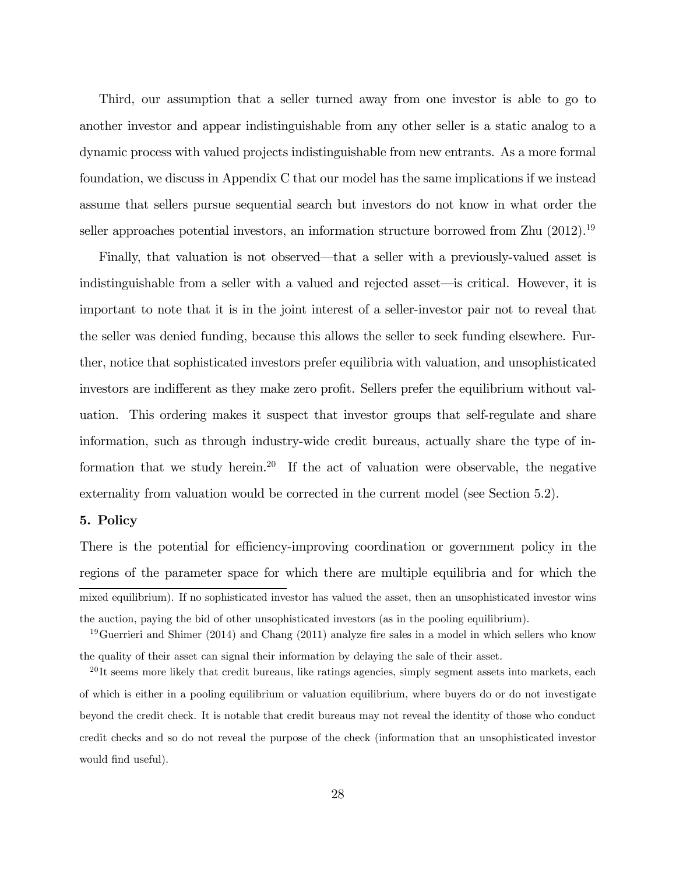Third, our assumption that a seller turned away from one investor is able to go to another investor and appear indistinguishable from any other seller is a static analog to a dynamic process with valued projects indistinguishable from new entrants. As a more formal foundation, we discuss in Appendix C that our model has the same implications if we instead assume that sellers pursue sequential search but investors do not know in what order the seller approaches potential investors, an information structure borrowed from Zhu (2012).<sup>19</sup>

Finally, that valuation is not observed–that a seller with a previously-valued asset is indistinguishable from a seller with a valued and rejected asset–is critical. However, it is important to note that it is in the joint interest of a seller-investor pair not to reveal that the seller was denied funding, because this allows the seller to seek funding elsewhere. Further, notice that sophisticated investors prefer equilibria with valuation, and unsophisticated investors are indifferent as they make zero profit. Sellers prefer the equilibrium without valuation. This ordering makes it suspect that investor groups that self-regulate and share information, such as through industry-wide credit bureaus, actually share the type of information that we study herein.<sup>20</sup> If the act of valuation were observable, the negative externality from valuation would be corrected in the current model (see Section 5.2).

#### 5. Policy

There is the potential for efficiency-improving coordination or government policy in the regions of the parameter space for which there are multiple equilibria and for which the mixed equilibrium). If no sophisticated investor has valued the asset, then an unsophisticated investor wins the auction, paying the bid of other unsophisticated investors (as in the pooling equilibrium).

<sup>&</sup>lt;sup>19</sup>Guerrieri and Shimer (2014) and Chang (2011) analyze fire sales in a model in which sellers who know the quality of their asset can signal their information by delaying the sale of their asset.

 $^{20}$ It seems more likely that credit bureaus, like ratings agencies, simply segment assets into markets, each of which is either in a pooling equilibrium or valuation equilibrium, where buyers do or do not investigate beyond the credit check. It is notable that credit bureaus may not reveal the identity of those who conduct credit checks and so do not reveal the purpose of the check (information that an unsophisticated investor would find useful).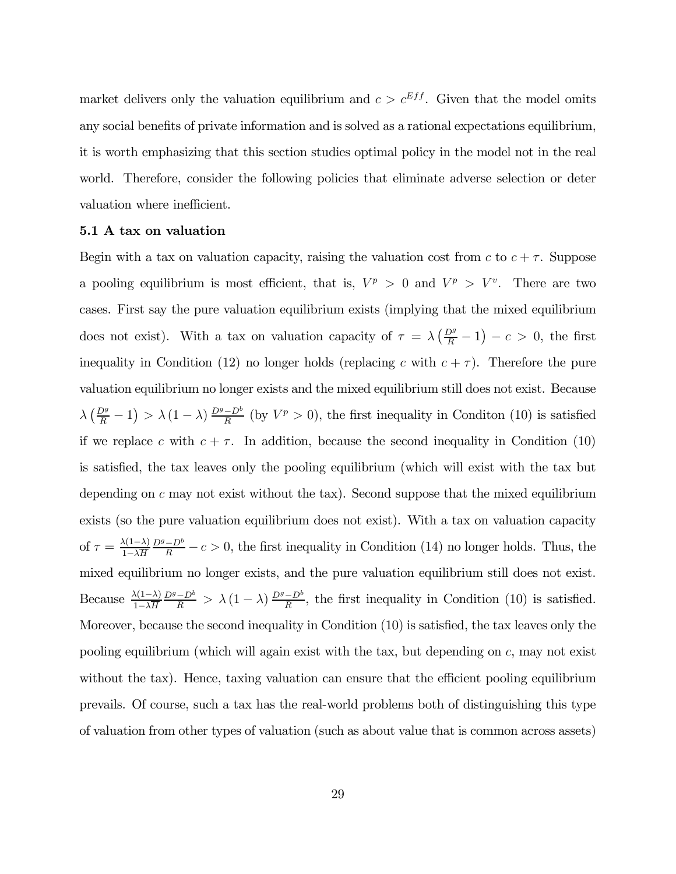market delivers only the valuation equilibrium and  $c > c^{Eff}$ . Given that the model omits any social benefits of private information and is solved as a rational expectations equilibrium, it is worth emphasizing that this section studies optimal policy in the model not in the real world. Therefore, consider the following policies that eliminate adverse selection or deter valuation where inefficient.

#### 5.1 A tax on valuation

Begin with a tax on valuation capacity, raising the valuation cost from  $c$  to  $c + \tau$ . Suppose a pooling equilibrium is most efficient, that is,  $V^p > 0$  and  $V^p > V^v$ . There are two cases. First say the pure valuation equilibrium exists (implying that the mixed equilibrium does not exist). With a tax on valuation capacity of  $\tau = \lambda \left(\frac{D^g}{R} - 1\right) - c > 0$ , the first inequality in Condition (12) no longer holds (replacing c with  $c + \tau$ ). Therefore the pure valuation equilibrium no longer exists and the mixed equilibrium still does not exist. Because  $\lambda\left(\frac{D^g}{R} - 1\right) > \lambda\left(1 - \lambda\right) \frac{D^g - D^b}{R}$  (by  $V^p > 0$ ), the first inequality in Condition (10) is satisfied if we replace c with  $c + \tau$ . In addition, because the second inequality in Condition (10) is satisfied, the tax leaves only the pooling equilibrium (which will exist with the tax but depending on  $c$  may not exist without the tax). Second suppose that the mixed equilibrium exists (so the pure valuation equilibrium does not exist). With a tax on valuation capacity of  $\tau = \frac{\lambda(1-\lambda)}{1-\lambda\overline{H}}$  $\frac{D^g - D^b}{R} - c > 0$ , the first inequality in Condition (14) no longer holds. Thus, the mixed equilibrium no longer exists, and the pure valuation equilibrium still does not exist. Because  $\frac{\lambda(1-\lambda)}{1-\lambda\overline{H}}$  $\frac{D^g - D^b}{R} > \lambda (1 - \lambda) \frac{D^g - D^b}{R}$ , the first inequality in Condition (10) is satisfied. Moreover, because the second inequality in Condition (10) is satisfied, the tax leaves only the pooling equilibrium (which will again exist with the tax, but depending on  $c$ , may not exist without the tax). Hence, taxing valuation can ensure that the efficient pooling equilibrium prevails. Of course, such a tax has the real-world problems both of distinguishing this type of valuation from other types of valuation (such as about value that is common across assets)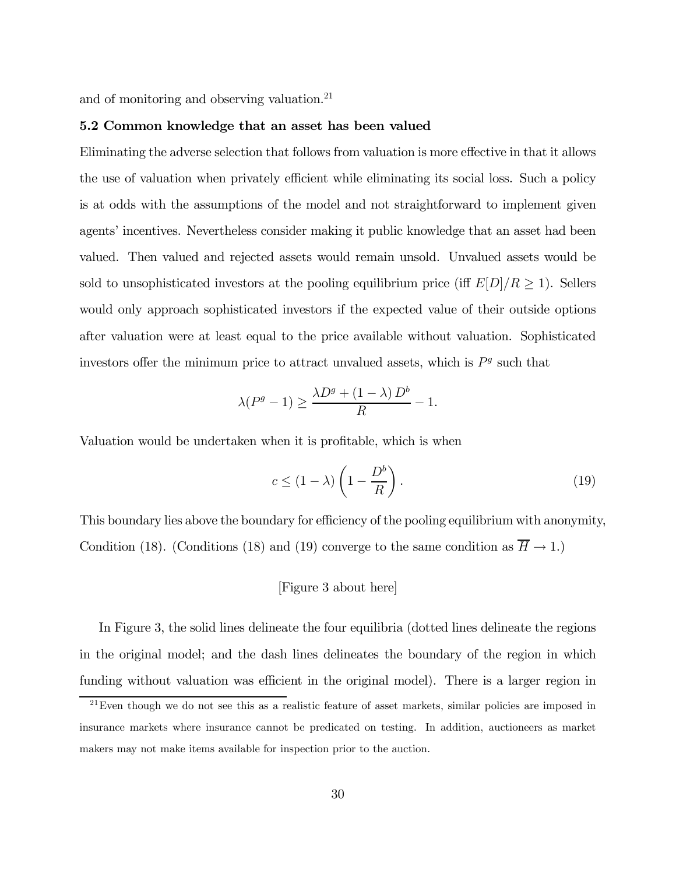and of monitoring and observing valuation.21

#### 5.2 Common knowledge that an asset has been valued

Eliminating the adverse selection that follows from valuation is more effective in that it allows the use of valuation when privately efficient while eliminating its social loss. Such a policy is at odds with the assumptions of the model and not straightforward to implement given agents' incentives. Nevertheless consider making it public knowledge that an asset had been valued. Then valued and rejected assets would remain unsold. Unvalued assets would be sold to unsophisticated investors at the pooling equilibrium price (iff  $E[D]/R \ge 1$ ). Sellers would only approach sophisticated investors if the expected value of their outside options after valuation were at least equal to the price available without valuation. Sophisticated investors offer the minimum price to attract unvalued assets, which is  $P<sup>g</sup>$  such that

$$
\lambda(P^g - 1) \ge \frac{\lambda D^g + (1 - \lambda) D^b}{R} - 1.
$$

Valuation would be undertaken when it is profitable, which is when

$$
c \le (1 - \lambda) \left( 1 - \frac{D^b}{R} \right). \tag{19}
$$

This boundary lies above the boundary for efficiency of the pooling equilibrium with anonymity, Condition (18). (Conditions (18) and (19) converge to the same condition as  $\overline{H} \to 1$ .)

## [Figure 3 about here]

In Figure 3, the solid lines delineate the four equilibria (dotted lines delineate the regions in the original model; and the dash lines delineates the boundary of the region in which funding without valuation was efficient in the original model). There is a larger region in

 $21$ Even though we do not see this as a realistic feature of asset markets, similar policies are imposed in insurance markets where insurance cannot be predicated on testing. In addition, auctioneers as market makers may not make items available for inspection prior to the auction.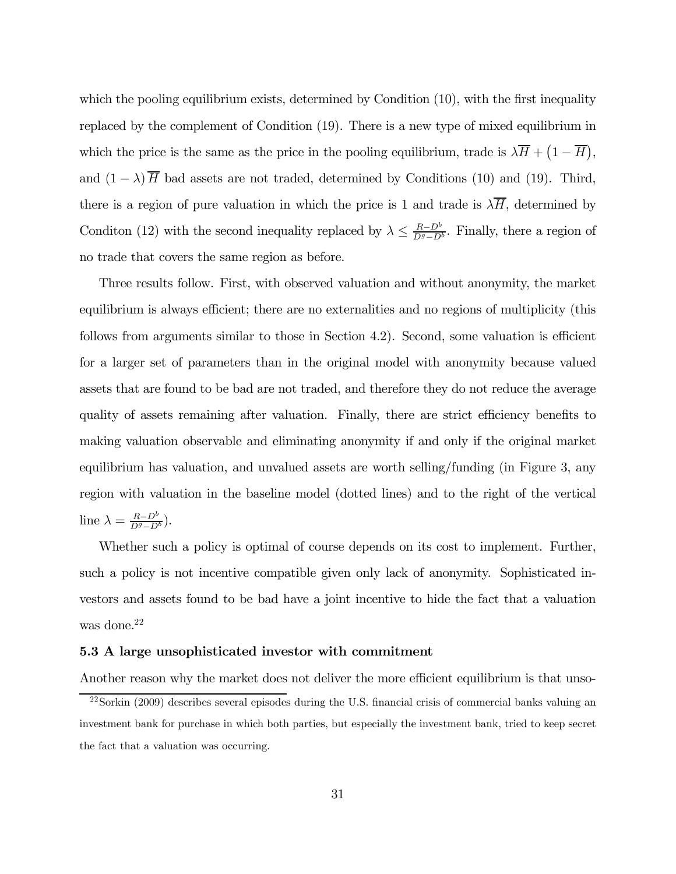which the pooling equilibrium exists, determined by Condition  $(10)$ , with the first inequality replaced by the complement of Condition (19). There is a new type of mixed equilibrium in which the price is the same as the price in the pooling equilibrium, trade is  $\lambda \overline{H} + (1 - \overline{H}),$ and  $(1 - \lambda)$   $\overline{H}$  bad assets are not traded, determined by Conditions (10) and (19). Third, there is a region of pure valuation in which the price is 1 and trade is  $\lambda \overline{H}$ , determined by Conditon (12) with the second inequality replaced by  $\lambda \leq \frac{R-D^b}{D^g-D^b}$ . Finally, there a region of no trade that covers the same region as before.

Three results follow. First, with observed valuation and without anonymity, the market equilibrium is always efficient; there are no externalities and no regions of multiplicity (this follows from arguments similar to those in Section 4.2). Second, some valuation is efficient for a larger set of parameters than in the original model with anonymity because valued assets that are found to be bad are not traded, and therefore they do not reduce the average quality of assets remaining after valuation. Finally, there are strict efficiency benefits to making valuation observable and eliminating anonymity if and only if the original market equilibrium has valuation, and unvalued assets are worth selling/funding (in Figure 3, any region with valuation in the baseline model (dotted lines) and to the right of the vertical line  $\lambda = \frac{R - D^b}{D^g - D^b}$ ).

Whether such a policy is optimal of course depends on its cost to implement. Further, such a policy is not incentive compatible given only lack of anonymity. Sophisticated investors and assets found to be bad have a joint incentive to hide the fact that a valuation was done.<sup>22</sup>

#### 5.3 A large unsophisticated investor with commitment

Another reason why the market does not deliver the more efficient equilibrium is that unso-

 $^{22}$ Sorkin (2009) describes several episodes during the U.S. financial crisis of commercial banks valuing an investment bank for purchase in which both parties, but especially the investment bank, tried to keep secret the fact that a valuation was occurring.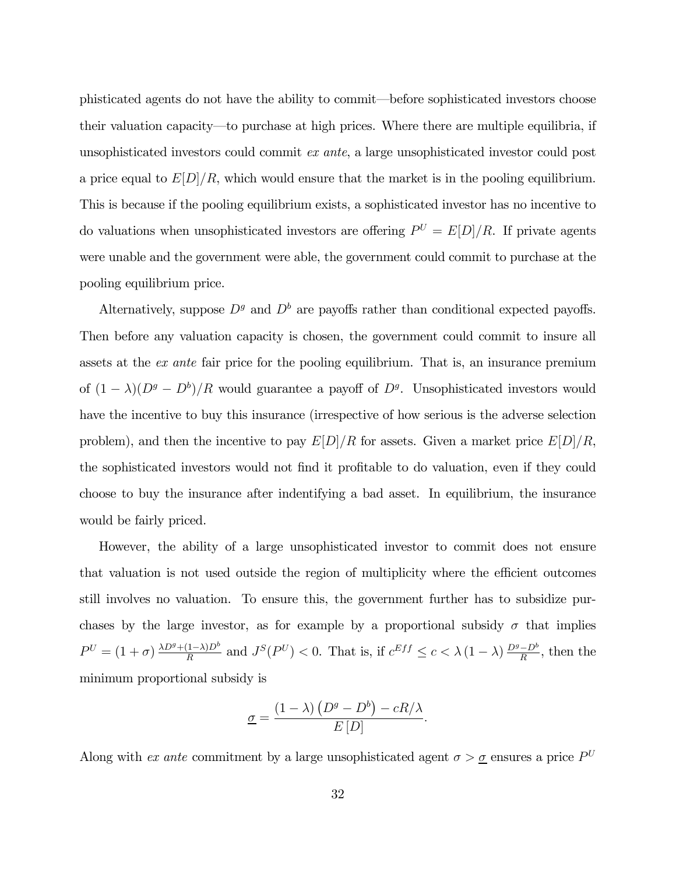phisticated agents do not have the ability to commit–before sophisticated investors choose their valuation capacity–to purchase at high prices. Where there are multiple equilibria, if unsophisticated investors could commit ex ante, a large unsophisticated investor could post a price equal to  $E[D]/R$ , which would ensure that the market is in the pooling equilibrium. This is because if the pooling equilibrium exists, a sophisticated investor has no incentive to do valuations when unsophisticated investors are offering  $P^U = E[D]/R$ . If private agents were unable and the government were able, the government could commit to purchase at the pooling equilibrium price.

Alternatively, suppose  $D^g$  and  $D^b$  are payoffs rather than conditional expected payoffs. Then before any valuation capacity is chosen, the government could commit to insure all assets at the ex ante fair price for the pooling equilibrium. That is, an insurance premium of  $(1 - \lambda)(D^g - D^b)/R$  would guarantee a payoff of  $D^g$ . Unsophisticated investors would have the incentive to buy this insurance (irrespective of how serious is the adverse selection problem), and then the incentive to pay  $E[D]/R$  for assets. Given a market price  $E[D]/R$ , the sophisticated investors would not find it profitable to do valuation, even if they could choose to buy the insurance after indentifying a bad asset. In equilibrium, the insurance would be fairly priced.

However, the ability of a large unsophisticated investor to commit does not ensure that valuation is not used outside the region of multiplicity where the efficient outcomes still involves no valuation. To ensure this, the government further has to subsidize purchases by the large investor, as for example by a proportional subsidy  $\sigma$  that implies  $P^U = (1 + \sigma) \frac{\lambda D^g + (1 - \lambda) D^b}{R}$  and  $J^S(P^U) < 0$ . That is, if  $c^{Eff} \leq c < \lambda (1 - \lambda) \frac{D^g - D^b}{R}$ , then the minimum proportional subsidy is

$$
\underline{\sigma} = \frac{(1 - \lambda) (D^g - D^b) - cR/\lambda}{E[D]}.
$$

Along with ex ante commitment by a large unsophisticated agent  $\sigma > \underline{\sigma}$  ensures a price  $P^U$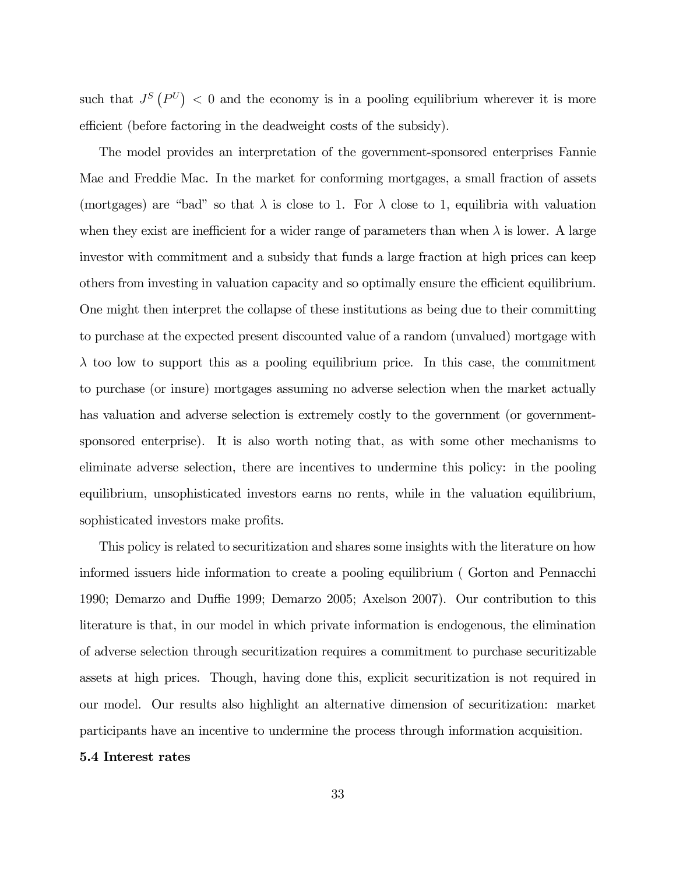such that  $J^S(P^U)$  < 0 and the economy is in a pooling equilibrium wherever it is more efficient (before factoring in the deadweight costs of the subsidy).

The model provides an interpretation of the government-sponsored enterprises Fannie Mae and Freddie Mac. In the market for conforming mortgages, a small fraction of assets (mortgages) are "bad" so that  $\lambda$  is close to 1. For  $\lambda$  close to 1, equilibria with valuation when they exist are inefficient for a wider range of parameters than when  $\lambda$  is lower. A large investor with commitment and a subsidy that funds a large fraction at high prices can keep others from investing in valuation capacity and so optimally ensure the efficient equilibrium. One might then interpret the collapse of these institutions as being due to their committing to purchase at the expected present discounted value of a random (unvalued) mortgage with  $\lambda$  too low to support this as a pooling equilibrium price. In this case, the commitment to purchase (or insure) mortgages assuming no adverse selection when the market actually has valuation and adverse selection is extremely costly to the government (or governmentsponsored enterprise). It is also worth noting that, as with some other mechanisms to eliminate adverse selection, there are incentives to undermine this policy: in the pooling equilibrium, unsophisticated investors earns no rents, while in the valuation equilibrium, sophisticated investors make profits.

This policy is related to securitization and shares some insights with the literature on how informed issuers hide information to create a pooling equilibrium ( Gorton and Pennacchi 1990; Demarzo and Duffie 1999; Demarzo 2005; Axelson 2007). Our contribution to this literature is that, in our model in which private information is endogenous, the elimination of adverse selection through securitization requires a commitment to purchase securitizable assets at high prices. Though, having done this, explicit securitization is not required in our model. Our results also highlight an alternative dimension of securitization: market participants have an incentive to undermine the process through information acquisition.

#### 5.4 Interest rates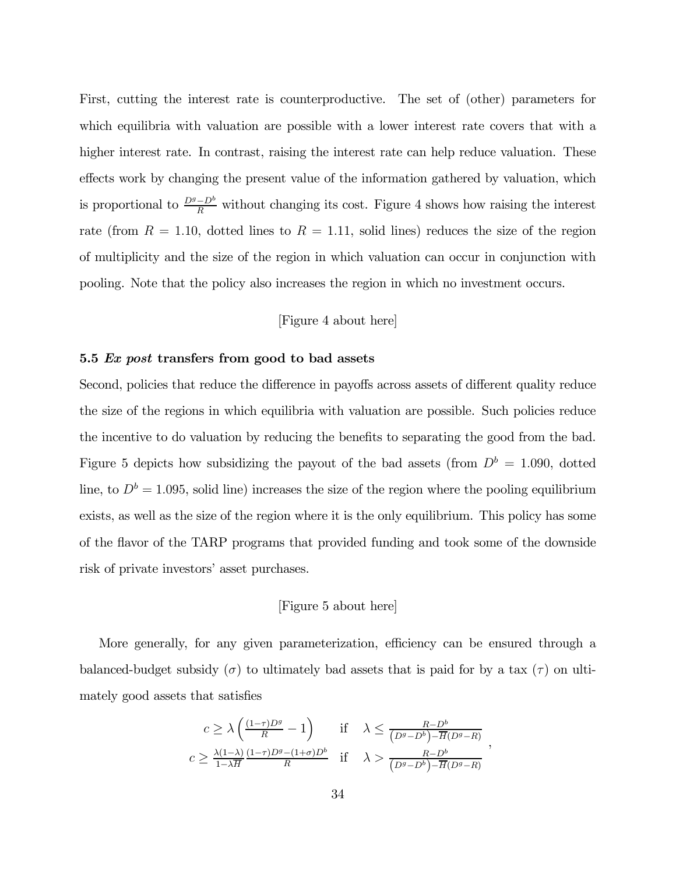First, cutting the interest rate is counterproductive. The set of (other) parameters for which equilibria with valuation are possible with a lower interest rate covers that with a higher interest rate. In contrast, raising the interest rate can help reduce valuation. These effects work by changing the present value of the information gathered by valuation, which is proportional to  $\frac{D^g - D^b}{R}$  without changing its cost. Figure 4 shows how raising the interest rate (from  $R = 1.10$ , dotted lines to  $R = 1.11$ , solid lines) reduces the size of the region of multiplicity and the size of the region in which valuation can occur in conjunction with pooling. Note that the policy also increases the region in which no investment occurs.

## [Figure 4 about here]

## 5.5 Ex post transfers from good to bad assets

Second, policies that reduce the difference in payoffs across assets of different quality reduce the size of the regions in which equilibria with valuation are possible. Such policies reduce the incentive to do valuation by reducing the benefits to separating the good from the bad. Figure 5 depicts how subsidizing the payout of the bad assets (from  $D^b = 1.090$ , dotted line, to  $D^b = 1.095$ , solid line) increases the size of the region where the pooling equilibrium exists, as well as the size of the region where it is the only equilibrium. This policy has some of the flavor of the TARP programs that provided funding and took some of the downside risk of private investors' asset purchases.

## [Figure 5 about here]

More generally, for any given parameterization, efficiency can be ensured through a balanced-budget subsidy ( $\sigma$ ) to ultimately bad assets that is paid for by a tax ( $\tau$ ) on ultimately good assets that satisfies

$$
c \ge \lambda \left(\frac{(1-\tau)D^g}{R} - 1\right) \quad \text{if} \quad \lambda \le \frac{R - D^b}{\left(D^g - D^b\right) - \overline{H}(D^g - R)}
$$

$$
c \ge \frac{\lambda(1-\lambda)}{1-\lambda\overline{H}} \frac{(1-\tau)D^g - (1+\sigma)D^b}{R} \quad \text{if} \quad \lambda > \frac{R - D^b}{\left(D^g - D^b\right) - \overline{H}(D^g - R)}
$$

,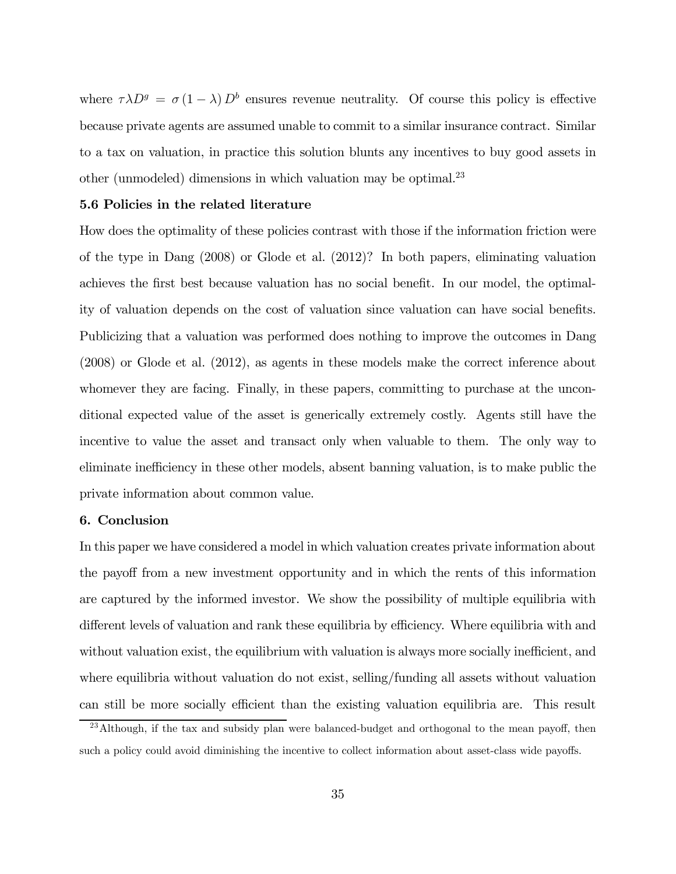where  $\tau \lambda D^g = \sigma (1 - \lambda) D^b$  ensures revenue neutrality. Of course this policy is effective because private agents are assumed unable to commit to a similar insurance contract. Similar to a tax on valuation, in practice this solution blunts any incentives to buy good assets in other (unmodeled) dimensions in which valuation may be optimal.23

#### 5.6 Policies in the related literature

How does the optimality of these policies contrast with those if the information friction were of the type in Dang (2008) or Glode et al. (2012)? In both papers, eliminating valuation achieves the first best because valuation has no social benefit. In our model, the optimality of valuation depends on the cost of valuation since valuation can have social benefits. Publicizing that a valuation was performed does nothing to improve the outcomes in Dang (2008) or Glode et al. (2012), as agents in these models make the correct inference about whomever they are facing. Finally, in these papers, committing to purchase at the unconditional expected value of the asset is generically extremely costly. Agents still have the incentive to value the asset and transact only when valuable to them. The only way to eliminate inefficiency in these other models, absent banning valuation, is to make public the private information about common value.

## 6. Conclusion

In this paper we have considered a model in which valuation creates private information about the payoff from a new investment opportunity and in which the rents of this information are captured by the informed investor. We show the possibility of multiple equilibria with different levels of valuation and rank these equilibria by efficiency. Where equilibria with and without valuation exist, the equilibrium with valuation is always more socially inefficient, and where equilibria without valuation do not exist, selling/funding all assets without valuation can still be more socially efficient than the existing valuation equilibria are. This result

 $^{23}$ Although, if the tax and subsidy plan were balanced-budget and orthogonal to the mean payoff, then such a policy could avoid diminishing the incentive to collect information about asset-class wide payoffs.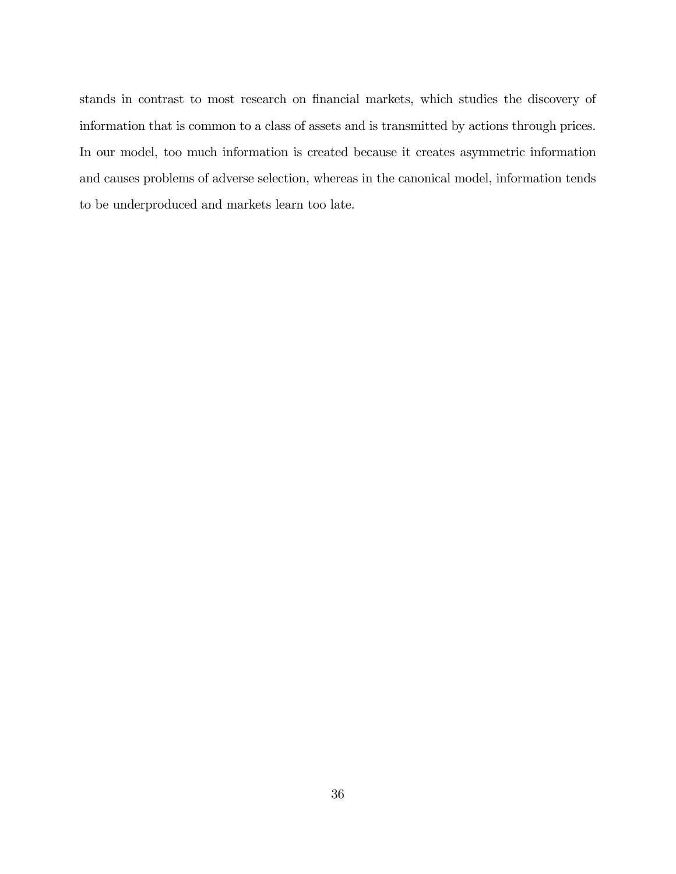stands in contrast to most research on financial markets, which studies the discovery of information that is common to a class of assets and is transmitted by actions through prices. In our model, too much information is created because it creates asymmetric information and causes problems of adverse selection, whereas in the canonical model, information tends to be underproduced and markets learn too late.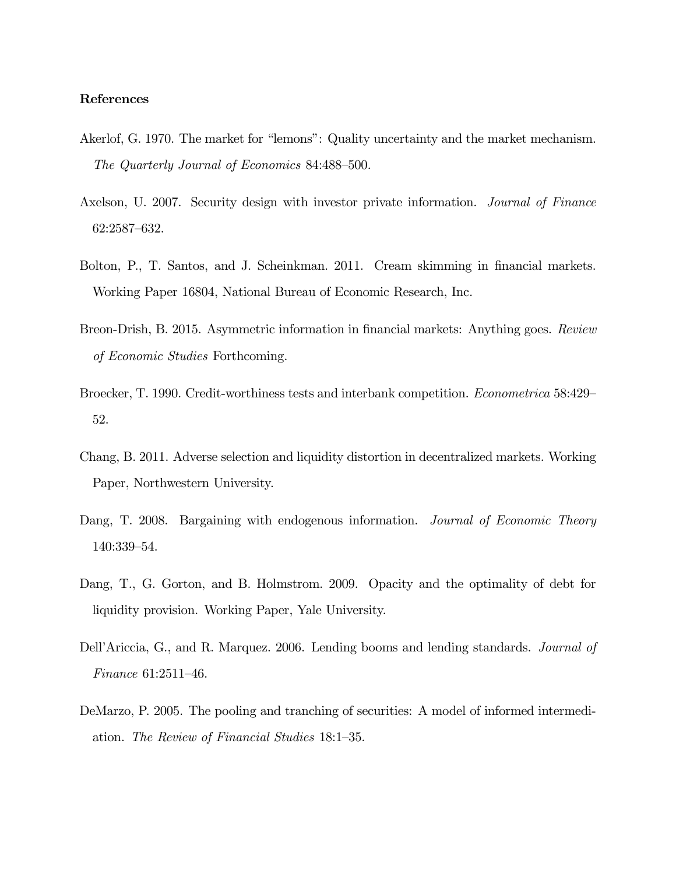## References

- Akerlof, G. 1970. The market for "lemons": Quality uncertainty and the market mechanism. The Quarterly Journal of Economics 84:488—500.
- Axelson, U. 2007. Security design with investor private information. Journal of Finance 62:2587—632.
- Bolton, P., T. Santos, and J. Scheinkman. 2011. Cream skimming in financial markets. Working Paper 16804, National Bureau of Economic Research, Inc.
- Breon-Drish, B. 2015. Asymmetric information in financial markets: Anything goes. Review of Economic Studies Forthcoming.
- Broecker, T. 1990. Credit-worthiness tests and interbank competition. Econometrica 58:429— 52.
- Chang, B. 2011. Adverse selection and liquidity distortion in decentralized markets. Working Paper, Northwestern University.
- Dang, T. 2008. Bargaining with endogenous information. Journal of Economic Theory 140:339—54.
- Dang, T., G. Gorton, and B. Holmstrom. 2009. Opacity and the optimality of debt for liquidity provision. Working Paper, Yale University.
- Dell'Ariccia, G., and R. Marquez. 2006. Lending booms and lending standards. *Journal of* Finance 61:2511—46.
- DeMarzo, P. 2005. The pooling and tranching of securities: A model of informed intermediation. The Review of Financial Studies 18:1—35.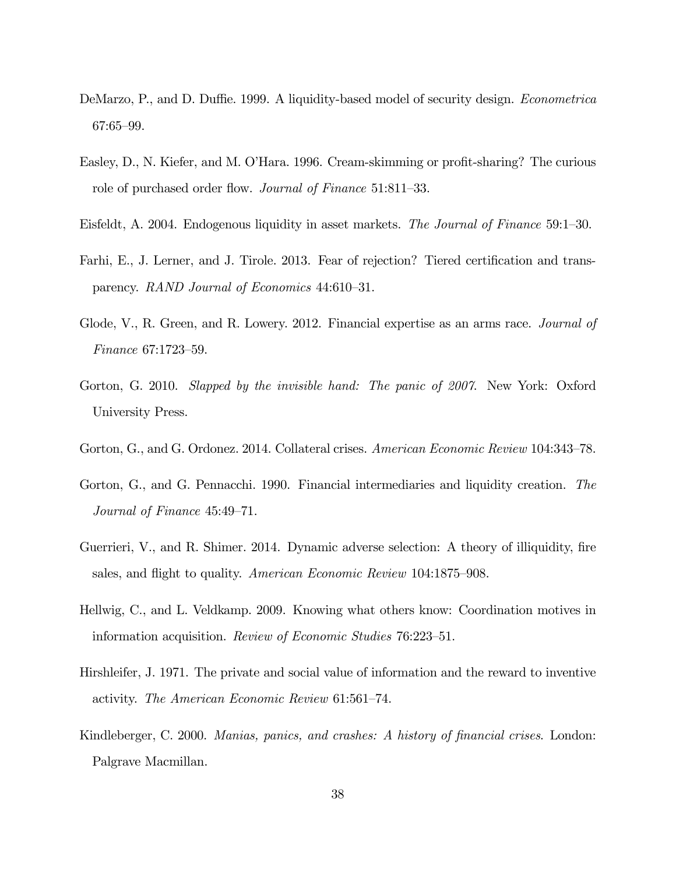- DeMarzo, P., and D. Duffie. 1999. A liquidity-based model of security design. Econometrica 67:65—99.
- Easley, D., N. Kiefer, and M. O'Hara. 1996. Cream-skimming or profit-sharing? The curious role of purchased order flow. Journal of Finance 51:811—33.
- Eisfeldt, A. 2004. Endogenous liquidity in asset markets. The Journal of Finance 59:1—30.
- Farhi, E., J. Lerner, and J. Tirole. 2013. Fear of rejection? Tiered certification and transparency. RAND Journal of Economics 44:610—31.
- Glode, V., R. Green, and R. Lowery. 2012. Financial expertise as an arms race. *Journal of* Finance 67:1723—59.
- Gorton, G. 2010. Slapped by the invisible hand: The panic of 2007. New York: Oxford University Press.
- Gorton, G., and G. Ordonez. 2014. Collateral crises. American Economic Review 104:343–78.
- Gorton, G., and G. Pennacchi. 1990. Financial intermediaries and liquidity creation. The Journal of Finance 45:49—71.
- Guerrieri, V., and R. Shimer. 2014. Dynamic adverse selection: A theory of illiquidity, fire sales, and flight to quality. American Economic Review 104:1875—908.
- Hellwig, C., and L. Veldkamp. 2009. Knowing what others know: Coordination motives in information acquisition. Review of Economic Studies 76:223—51.
- Hirshleifer, J. 1971. The private and social value of information and the reward to inventive activity. The American Economic Review 61:561—74.
- Kindleberger, C. 2000. *Manias, panics, and crashes: A history of financial crises.* London: Palgrave Macmillan.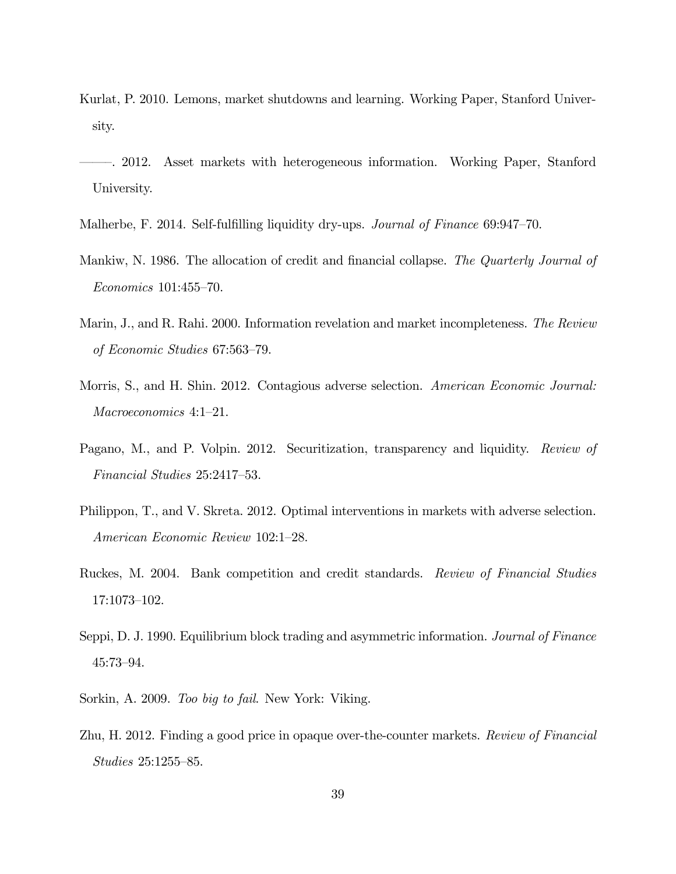- Kurlat, P. 2010. Lemons, market shutdowns and learning. Working Paper, Stanford University.
- ––—. 2012. Asset markets with heterogeneous information. Working Paper, Stanford University.
- Malherbe, F. 2014. Self-fulfilling liquidity dry-ups. Journal of Finance 69:947—70.
- Mankiw, N. 1986. The allocation of credit and financial collapse. The Quarterly Journal of Economics 101:455—70.
- Marin, J., and R. Rahi. 2000. Information revelation and market incompleteness. The Review of Economic Studies 67:563—79.
- Morris, S., and H. Shin. 2012. Contagious adverse selection. American Economic Journal: Macroeconomics 4:1—21.
- Pagano, M., and P. Volpin. 2012. Securitization, transparency and liquidity. Review of Financial Studies 25:2417—53.
- Philippon, T., and V. Skreta. 2012. Optimal interventions in markets with adverse selection. American Economic Review 102:1—28.
- Ruckes, M. 2004. Bank competition and credit standards. Review of Financial Studies 17:1073—102.
- Seppi, D. J. 1990. Equilibrium block trading and asymmetric information. Journal of Finance 45:73—94.
- Sorkin, A. 2009. Too big to fail. New York: Viking.
- Zhu, H. 2012. Finding a good price in opaque over-the-counter markets. Review of Financial Studies 25:1255—85.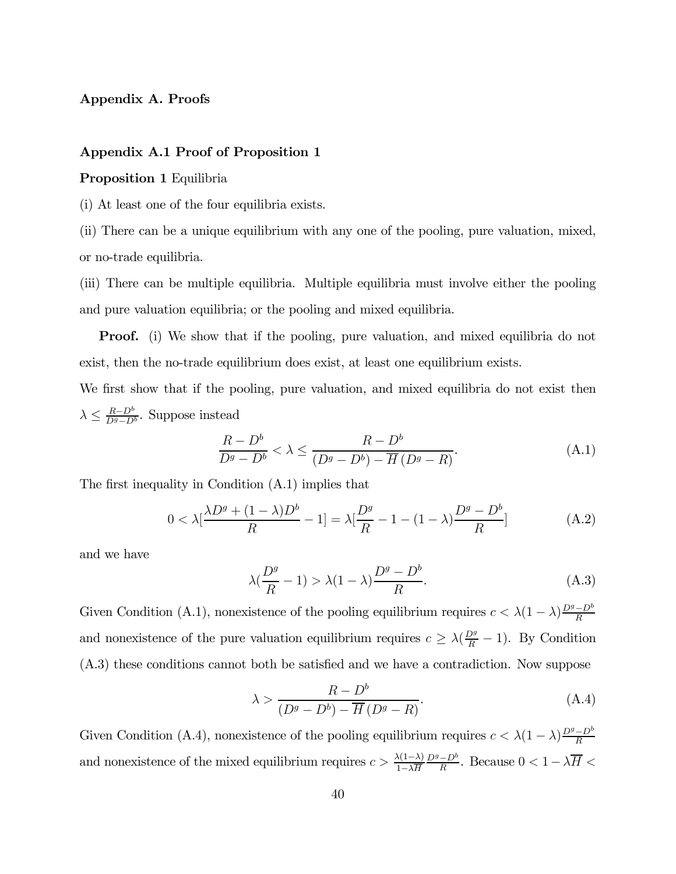## Appendix A. Proofs

## Appendix A.1 Proof of Proposition 1

## Proposition 1 Equilibria

(i) At least one of the four equilibria exists.

(ii) There can be a unique equilibrium with any one of the pooling, pure valuation, mixed, or no-trade equilibria.

(iii) There can be multiple equilibria. Multiple equilibria must involve either the pooling and pure valuation equilibria; or the pooling and mixed equilibria.

**Proof.** (i) We show that if the pooling, pure valuation, and mixed equilibria do not exist, then the no-trade equilibrium does exist, at least one equilibrium exists.

We first show that if the pooling, pure valuation, and mixed equilibria do not exist then  $\lambda \leq \frac{R-D^b}{D^g-D^b}$ . Suppose instead

$$
\frac{R - D^b}{D^g - D^b} < \lambda \le \frac{R - D^b}{(D^g - D^b) - \overline{H}(D^g - R)}.\tag{A.1}
$$

The first inequality in Condition (A.1) implies that

$$
0 < \lambda \left[ \frac{\lambda D^g + (1 - \lambda) D^b}{R} - 1 \right] = \lambda \left[ \frac{D^g}{R} - 1 - (1 - \lambda) \frac{D^g - D^b}{R} \right]
$$
 (A.2)

and we have

$$
\lambda(\frac{D^g}{R} - 1) > \lambda(1 - \lambda)\frac{D^g - D^b}{R}.\tag{A.3}
$$

Given Condition (A.1), nonexistence of the pooling equilibrium requires  $c < \lambda(1 - \lambda) \frac{D^g - D^b}{R}$ and nonexistence of the pure valuation equilibrium requires  $c \geq \lambda(\frac{D^g}{R} - 1)$ . By Condition (A.3) these conditions cannot both be satisfied and we have a contradiction. Now suppose

$$
\lambda > \frac{R - D^b}{(D^g - D^b) - \overline{H}(D^g - R)}.\tag{A.4}
$$

Given Condition (A.4), nonexistence of the pooling equilibrium requires  $c < \lambda (1 - \lambda) \frac{D^g - D^b}{R}$ and nonexistence of the mixed equilibrium requires  $c > \frac{\lambda(1-\lambda)}{1-\lambda\overline{H}}$  $\frac{D^g - D^b}{R}$ . Because 0 < 1 −  $\lambda \overline{H}$  <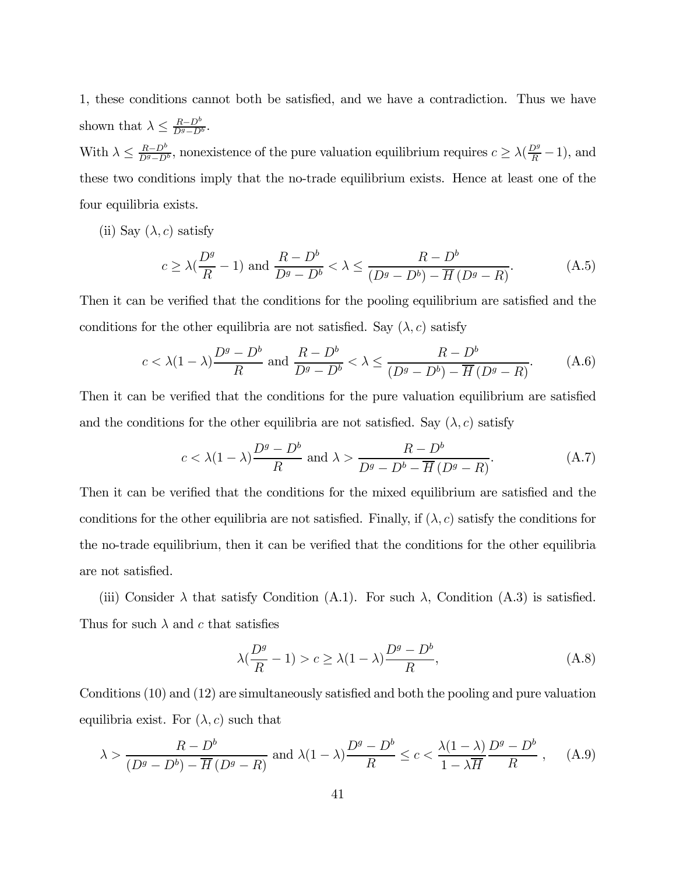1, these conditions cannot both be satisfied, and we have a contradiction. Thus we have shown that  $\lambda \leq \frac{R-D^b}{D^g-D^b}$ .

With  $\lambda \leq \frac{R-D^b}{D^g-D^b}$ , nonexistence of the pure valuation equilibrium requires  $c \geq \lambda(\frac{D^g}{R}-1)$ , and these two conditions imply that the no-trade equilibrium exists. Hence at least one of the four equilibria exists.

(ii) Say  $(\lambda, c)$  satisfy

$$
c \ge \lambda \left(\frac{D^g}{R} - 1\right) \text{ and } \frac{R - D^b}{D^g - D^b} < \lambda \le \frac{R - D^b}{\left(D^g - D^b\right) - \overline{H}\left(D^g - R\right)}.\tag{A.5}
$$

Then it can be verified that the conditions for the pooling equilibrium are satisfied and the conditions for the other equilibria are not satisfied. Say  $(\lambda, c)$  satisfy

$$
c < \lambda (1 - \lambda) \frac{D^g - D^b}{R} \text{ and } \frac{R - D^b}{D^g - D^b} < \lambda \le \frac{R - D^b}{(D^g - D^b) - \overline{H}(D^g - R)}.
$$
 (A.6)

Then it can be verified that the conditions for the pure valuation equilibrium are satisfied and the conditions for the other equilibria are not satisfied. Say  $(\lambda, c)$  satisfy

$$
c < \lambda (1 - \lambda) \frac{D^g - D^b}{R} \text{ and } \lambda > \frac{R - D^b}{D^g - D^b - \overline{H}(D^g - R)}.
$$
 (A.7)

Then it can be verified that the conditions for the mixed equilibrium are satisfied and the conditions for the other equilibria are not satisfied. Finally, if  $(\lambda, c)$  satisfy the conditions for the no-trade equilibrium, then it can be verified that the conditions for the other equilibria are not satisfied.

(iii) Consider  $\lambda$  that satisfy Condition (A.1). For such  $\lambda$ , Condition (A.3) is satisfied. Thus for such  $\lambda$  and c that satisfies

$$
\lambda(\frac{D^g}{R} - 1) > c \ge \lambda(1 - \lambda)\frac{D^g - D^b}{R},\tag{A.8}
$$

Conditions (10) and (12) are simultaneously satisfied and both the pooling and pure valuation equilibria exist. For  $(\lambda, c)$  such that

$$
\lambda > \frac{R - D^b}{(D^g - D^b) - \overline{H}(D^g - R)} \text{ and } \lambda(1 - \lambda)\frac{D^g - D^b}{R} \le c < \frac{\lambda(1 - \lambda)D^g - D^b}{1 - \lambda\overline{H}} ,\quad (A.9)
$$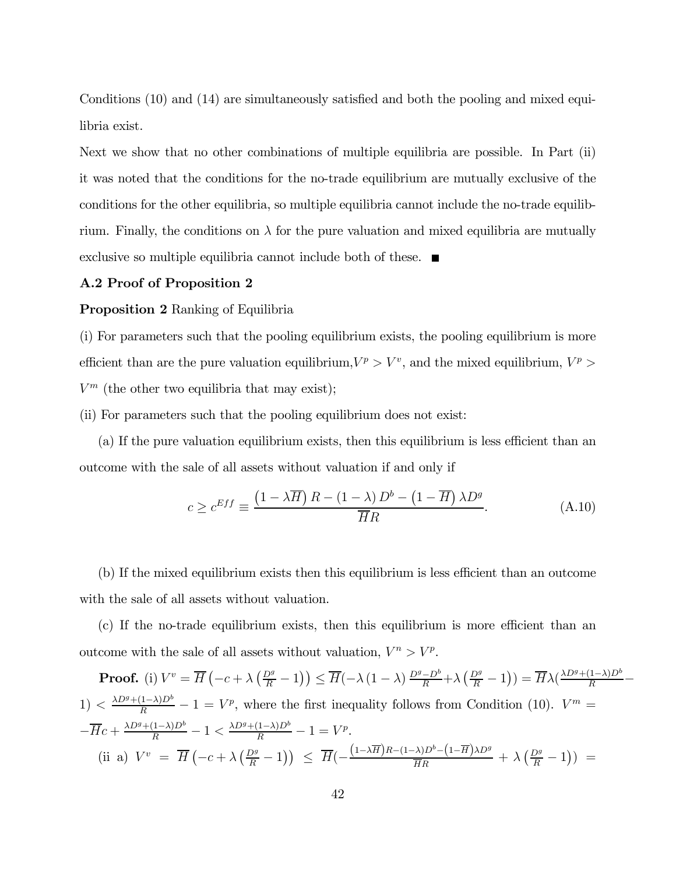Conditions (10) and (14) are simultaneously satisfied and both the pooling and mixed equilibria exist.

Next we show that no other combinations of multiple equilibria are possible. In Part (ii) it was noted that the conditions for the no-trade equilibrium are mutually exclusive of the conditions for the other equilibria, so multiple equilibria cannot include the no-trade equilibrium. Finally, the conditions on  $\lambda$  for the pure valuation and mixed equilibria are mutually exclusive so multiple equilibria cannot include both of these.  $\blacksquare$ 

## A.2 Proof of Proposition 2

### Proposition 2 Ranking of Equilibria

(i) For parameters such that the pooling equilibrium exists, the pooling equilibrium is more efficient than are the pure valuation equilibrium,  $V^p > V^v$ , and the mixed equilibrium,  $V^p >$  $V^m$  (the other two equilibria that may exist);

(ii) For parameters such that the pooling equilibrium does not exist:

(a) If the pure valuation equilibrium exists, then this equilibrium is less efficient than an outcome with the sale of all assets without valuation if and only if

$$
c \ge c^{Eff} \equiv \frac{\left(1 - \lambda \overline{H}\right)R - \left(1 - \lambda\right)D^b - \left(1 - \overline{H}\right)\lambda D^g}{\overline{H}R}.\tag{A.10}
$$

(b) If the mixed equilibrium exists then this equilibrium is less efficient than an outcome with the sale of all assets without valuation.

(c) If the no-trade equilibrium exists, then this equilibrium is more efficient than an outcome with the sale of all assets without valuation,  $V^n > V^p$ .

**Proof.** (i) 
$$
V^v = \overline{H} \left( -c + \lambda \left( \frac{D^g}{R} - 1 \right) \right) \le \overline{H} \left( -\lambda \left( 1 - \lambda \right) \frac{D^g - D^b}{R} + \lambda \left( \frac{D^g}{R} - 1 \right) \right) = \overline{H} \lambda \left( \frac{\lambda D^g + (1 - \lambda)D^b}{R} - 1 \right)
$$
  
\n $\lambda \frac{\lambda D^g + (1 - \lambda)D^b}{R} - 1 = V^p$ , where the first inequality follows from Condition (10).  $V^m = -\overline{H}c + \frac{\lambda D^g + (1 - \lambda)D^b}{R} - 1 < \frac{\lambda D^g + (1 - \lambda)D^b}{R} - 1 = V^p$ .  
\n(ii a)  $V^v = \overline{H} \left( -c + \lambda \left( \frac{D^g}{R} - 1 \right) \right) \le \overline{H} \left( -\frac{(1 - \lambda \overline{H})R - (1 - \lambda)D^b - (1 - \overline{H})\lambda D^g}{\overline{H}R} + \lambda \left( \frac{D^g}{R} - 1 \right) \right) =$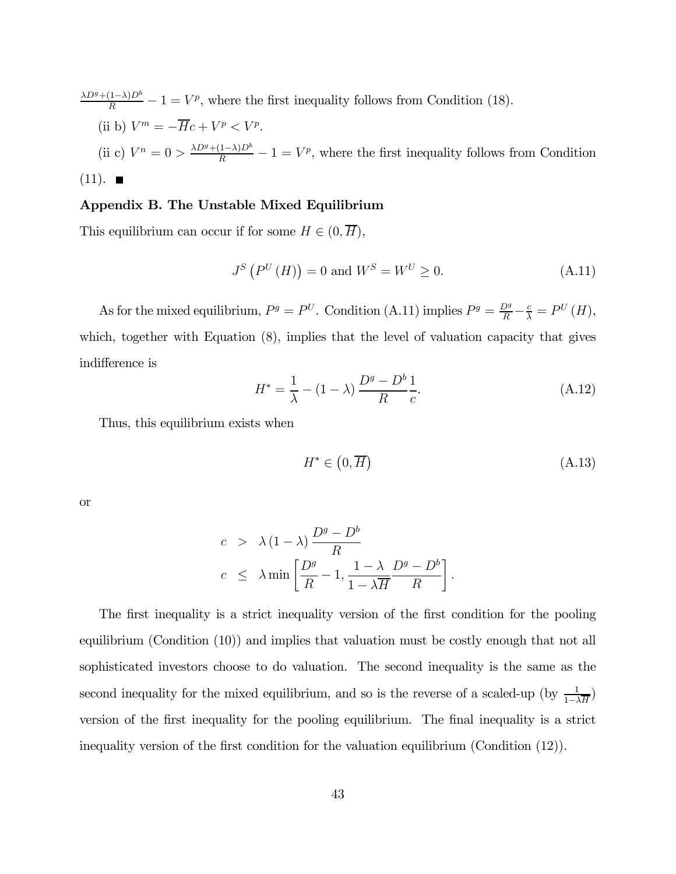$\frac{\lambda D^g + (1-\lambda)D^b}{R} - 1 = V^p$ , where the first inequality follows from Condition (18). (ii b)  $V^m = -\overline{H}c + V^p < V^p$ . (ii c)  $V^n = 0 > \frac{\lambda D^g + (1-\lambda)D^b}{R} - 1 = V^p$ , where the first inequality follows from Condition  $(11)$ .  $\blacksquare$ 

## Appendix B. The Unstable Mixed Equilibrium

This equilibrium can occur if for some  $H \in (0, \overline{H}),$ 

$$
J^{S} (P^{U} (H)) = 0 \text{ and } W^{S} = W^{U} \ge 0.
$$
 (A.11)

As for the mixed equilibrium,  $P^g = P^U$ . Condition (A.11) implies  $P^g = \frac{D^g}{R} - \frac{c}{\lambda} = P^U(H)$ , which, together with Equation  $(8)$ , implies that the level of valuation capacity that gives indifference is

$$
H^* = \frac{1}{\lambda} - (1 - \lambda) \frac{D^g - D^b}{R} \frac{1}{c}.
$$
 (A.12)

Thus, this equilibrium exists when

$$
H^* \in \left(0, \overline{H}\right) \tag{A.13}
$$

or

$$
c > \lambda (1 - \lambda) \frac{D^g - D^b}{R}
$$
  

$$
c \leq \lambda \min \left[ \frac{D^g}{R} - 1, \frac{1 - \lambda}{1 - \lambda \overline{H}} \frac{D^g - D^b}{R} \right].
$$

The first inequality is a strict inequality version of the first condition for the pooling equilibrium (Condition (10)) and implies that valuation must be costly enough that not all sophisticated investors choose to do valuation. The second inequality is the same as the second inequality for the mixed equilibrium, and so is the reverse of a scaled-up (by  $\frac{1}{1-\lambda \overline{H}}$ ) version of the first inequality for the pooling equilibrium. The final inequality is a strict inequality version of the first condition for the valuation equilibrium (Condition (12)).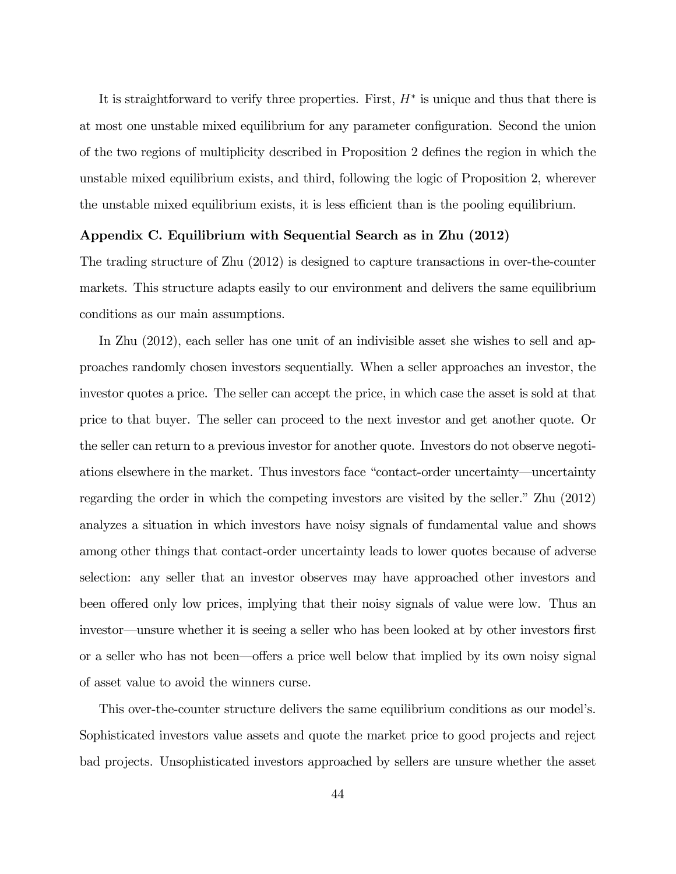It is straightforward to verify three properties. First,  $H^*$  is unique and thus that there is at most one unstable mixed equilibrium for any parameter configuration. Second the union of the two regions of multiplicity described in Proposition 2 defines the region in which the unstable mixed equilibrium exists, and third, following the logic of Proposition 2, wherever the unstable mixed equilibrium exists, it is less efficient than is the pooling equilibrium.

### Appendix C. Equilibrium with Sequential Search as in Zhu (2012)

The trading structure of Zhu (2012) is designed to capture transactions in over-the-counter markets. This structure adapts easily to our environment and delivers the same equilibrium conditions as our main assumptions.

In Zhu (2012), each seller has one unit of an indivisible asset she wishes to sell and approaches randomly chosen investors sequentially. When a seller approaches an investor, the investor quotes a price. The seller can accept the price, in which case the asset is sold at that price to that buyer. The seller can proceed to the next investor and get another quote. Or the seller can return to a previous investor for another quote. Investors do not observe negotiations elsewhere in the market. Thus investors face "contact-order uncertainty–uncertainty regarding the order in which the competing investors are visited by the seller." Zhu (2012) analyzes a situation in which investors have noisy signals of fundamental value and shows among other things that contact-order uncertainty leads to lower quotes because of adverse selection: any seller that an investor observes may have approached other investors and been offered only low prices, implying that their noisy signals of value were low. Thus an investor–unsure whether it is seeing a seller who has been looked at by other investors first or a seller who has not been–offers a price well below that implied by its own noisy signal of asset value to avoid the winners curse.

This over-the-counter structure delivers the same equilibrium conditions as our model's. Sophisticated investors value assets and quote the market price to good projects and reject bad projects. Unsophisticated investors approached by sellers are unsure whether the asset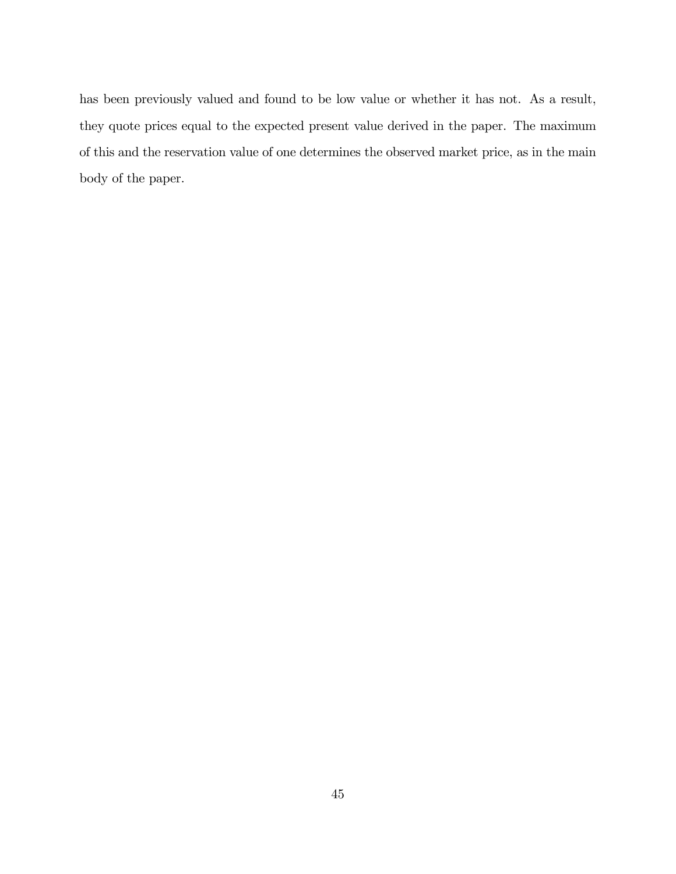has been previously valued and found to be low value or whether it has not. As a result, they quote prices equal to the expected present value derived in the paper. The maximum of this and the reservation value of one determines the observed market price, as in the main body of the paper.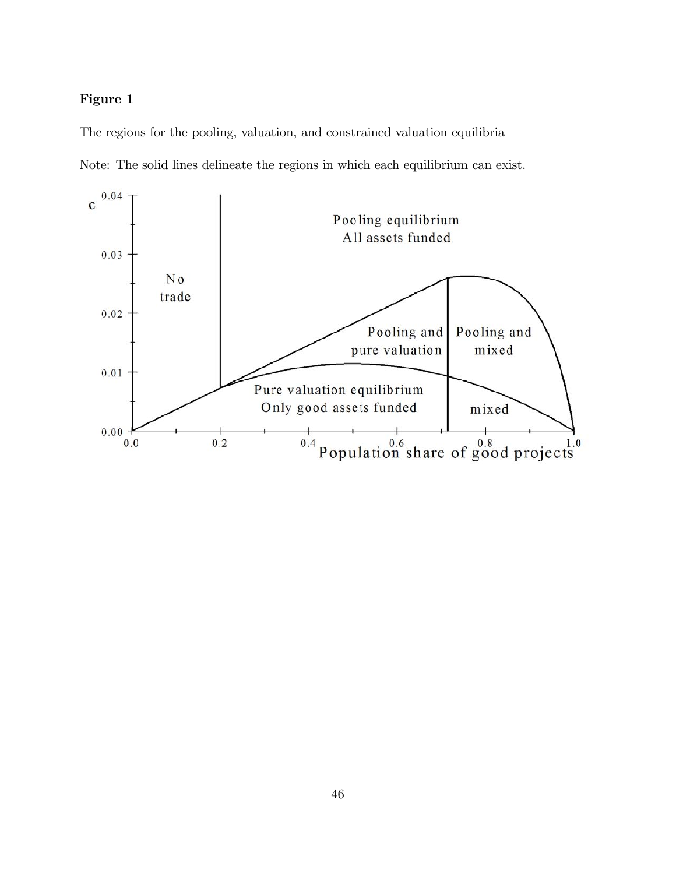The regions for the pooling, valuation, and constrained valuation equilibria

Note: The solid lines delineate the regions in which each equilibrium can exist.

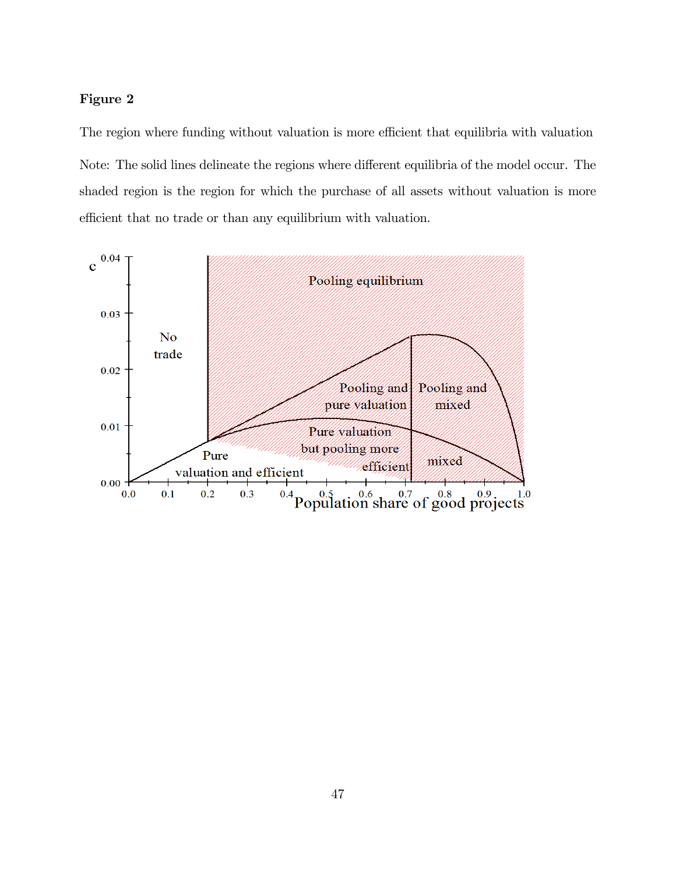The region where funding without valuation is more efficient that equilibria with valuation Note: The solid lines delineate the regions where different equilibria of the model occur. The shaded region is the region for which the purchase of all assets without valuation is more efficient that no trade or than any equilibrium with valuation.

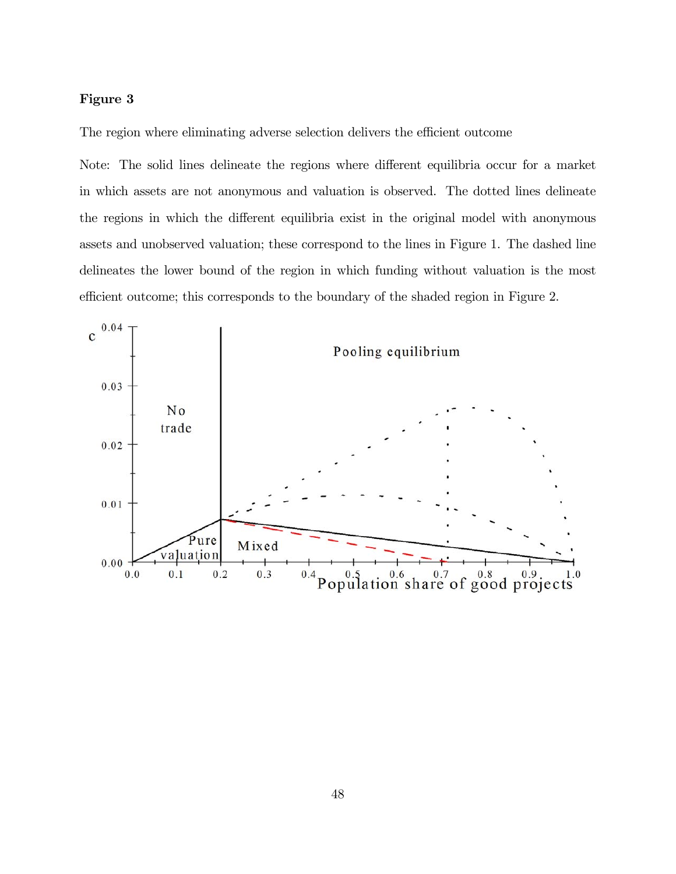The region where eliminating adverse selection delivers the efficient outcome

Note: The solid lines delineate the regions where different equilibria occur for a market in which assets are not anonymous and valuation is observed. The dotted lines delineate the regions in which the different equilibria exist in the original model with anonymous assets and unobserved valuation; these correspond to the lines in Figure 1. The dashed line delineates the lower bound of the region in which funding without valuation is the most efficient outcome; this corresponds to the boundary of the shaded region in Figure 2.

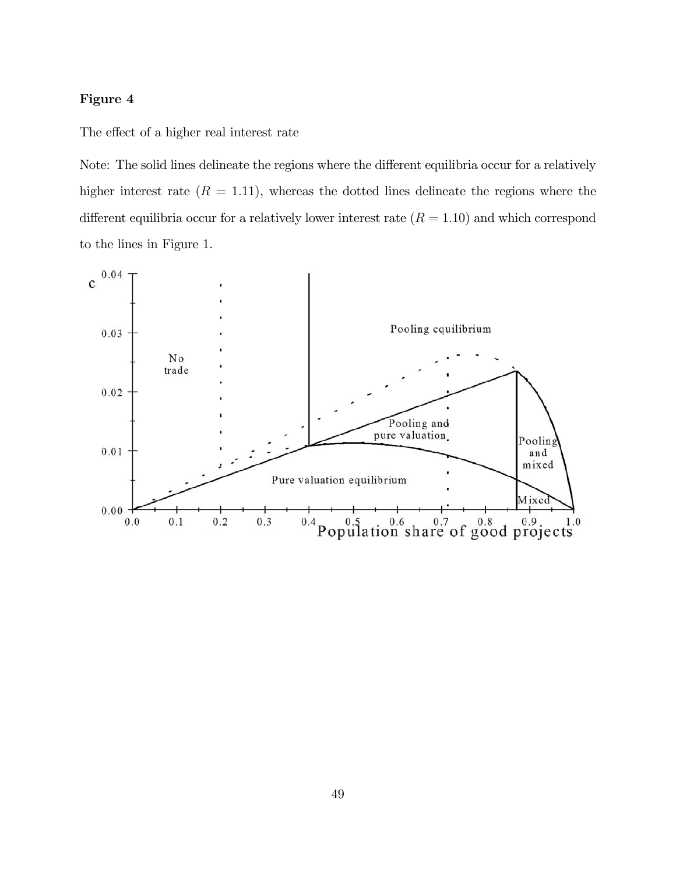The effect of a higher real interest rate

Note: The solid lines delineate the regions where the different equilibria occur for a relatively higher interest rate  $(R = 1.11)$ , whereas the dotted lines delineate the regions where the different equilibria occur for a relatively lower interest rate  $(R = 1.10)$  and which correspond to the lines in Figure 1.